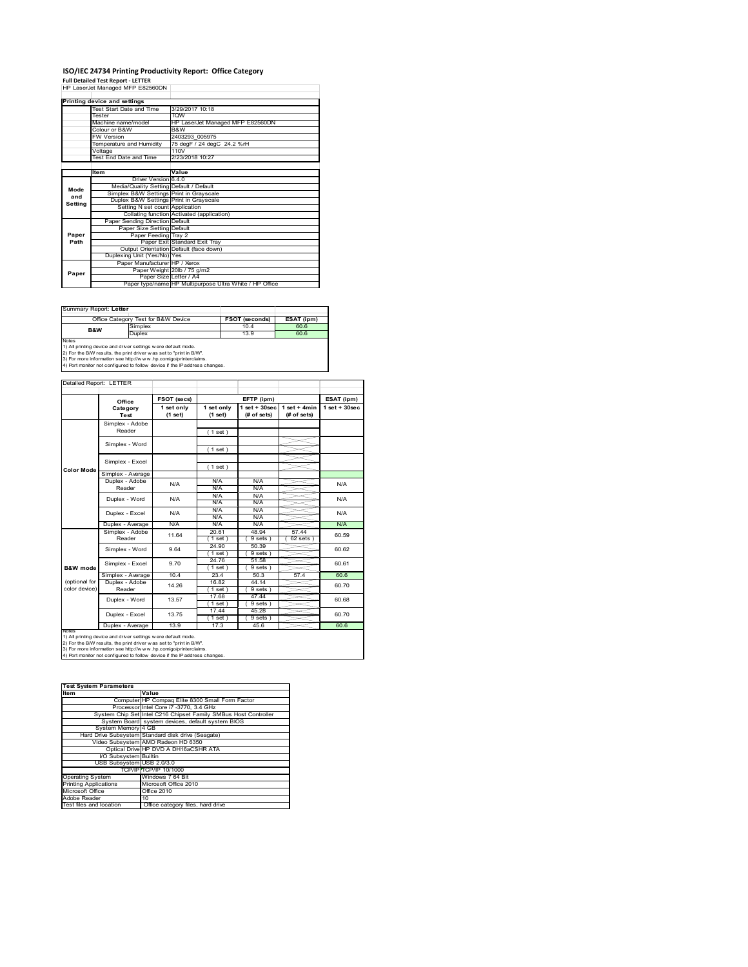# **ISO/IEC 24734 Printing Productivity Report: Office Category<br>Full Detailed Test Report - LETTER<br>HP LaserJet Managed MFP E82560DN**

|         | Printing device and settings            |                                                         |
|---------|-----------------------------------------|---------------------------------------------------------|
|         | Test Start Date and Time                | 3/29/2017 10:18                                         |
|         | Tester                                  | <b>TOW</b>                                              |
|         | Machine name/model                      | HP LaserJet Managed MFP E82560DN                        |
|         | Colour or B&W                           | B&W                                                     |
|         | <b>FW Version</b>                       | 2403293 005975                                          |
|         | Temperature and Humidity                | 75 degF / 24 degC 24.2 %rH                              |
|         | Voltage                                 | 110V                                                    |
|         | Test End Date and Time                  | 2/23/2018 10:27                                         |
|         |                                         |                                                         |
|         | <b>Item</b>                             | Value                                                   |
|         | Driver Version 6.4.0                    |                                                         |
| Mode    | Media/Quality Setting Default / Default |                                                         |
| and     | Simplex B&W Settings Print in Grayscale |                                                         |
| Setting | Duplex B&W Settings Print in Grayscale  |                                                         |
|         | Setting N set count Application         |                                                         |
|         |                                         | Collating function Activated (application)              |
|         | Paper Sending Direction Default         |                                                         |
|         | Paper Size Setting Default              |                                                         |
| Paper   | Paper Feeding Tray 2                    |                                                         |
| Path    |                                         | Paper Exit Standard Exit Tray                           |
|         |                                         | Output Orientation Default (face down)                  |
|         | Duplexing Unit (Yes/No) Yes             |                                                         |
|         | Paper Manufacturer HP / Xerox           |                                                         |
| Paper   |                                         | Paper Weight 20lb / 75 g/m2                             |
|         | Paper Size Letter / A4                  |                                                         |
|         |                                         | Paper type/name HP Multipurpose Ultra White / HP Office |

Summary Report: **Letter**

| i Suillinaiv Report. Letter                                                |                                     |                       |            |  |  |
|----------------------------------------------------------------------------|-------------------------------------|-----------------------|------------|--|--|
|                                                                            |                                     |                       |            |  |  |
|                                                                            | Office Category Test for B&W Device | <b>FSOT (seconds)</b> | ESAT (ipm) |  |  |
| <b>B&amp;W</b>                                                             | Simplex                             | 10.4                  | 60.6       |  |  |
|                                                                            | Duplex                              | 13.9                  | 60.6       |  |  |
| <b>Notes</b>                                                               |                                     |                       |            |  |  |
| 1) All printing device and driver settings w ere default mode.             |                                     |                       |            |  |  |
| 2) For the B/W results, the print driver was set to "print in B/W".        |                                     |                       |            |  |  |
| [3] For more information see http://www.hp.com/go/printerclaims.           |                                     |                       |            |  |  |
| 4) Port monitor not configured to follow device if the IP address changes. |                                     |                       |            |  |  |

| Detailed Report: LETTER        |                           |                       |                       |                                  |                               |                    |
|--------------------------------|---------------------------|-----------------------|-----------------------|----------------------------------|-------------------------------|--------------------|
|                                | Office                    | FSOT (secs)           |                       | EFTP (ipm)                       |                               | ESAT (ipm)         |
|                                | Category<br>Test          | 1 set only<br>(1 set) | 1 set only<br>(1 set) | $1$ set $+30$ sec<br>(# of sets) | $1$ set + 4min<br>(# of sets) | $1$ set + $30$ sec |
|                                | Simplex - Adobe<br>Reader |                       | (1 set)               |                                  |                               |                    |
|                                | Simplex - Word            |                       | (1 set)               |                                  |                               |                    |
| <b>Color Mode</b>              | Simplex - Excel           |                       | (1 set)               |                                  |                               |                    |
|                                | Simplex - Average         |                       |                       |                                  |                               |                    |
|                                | Duplex - Adobe<br>Reader  | N/A                   | N/A<br>N/A            | N/A<br>N/A                       |                               | N/A                |
|                                | Duplex - Word             | N/A                   | N/A<br><b>N/A</b>     | N/A<br>N/A                       |                               | N/A                |
|                                | Duplex - Excel            | N/A                   | N/A<br>N/A            | N/A<br>N/A                       |                               | N/A                |
|                                | Duplex - Average          | N/A                   | N/A                   | N/A                              |                               | N/A                |
|                                | Simplex - Adobe<br>Reader | 11.64                 | 20.61<br>(1 set)      | 48.94<br>$9 sets$ )              | 57.44<br>62 sets              | 60.59              |
|                                | Simplex - Word            | 9.64                  | 24.90<br>$1$ set)     | 50.39<br>9 sets)                 |                               | 60.62              |
| <b>B&amp;W</b> mode            | Simplex - Excel           | 9.70                  | 24.76<br>(1 set)      | 51.58<br>9 sets)                 |                               | 60.61              |
|                                | Simplex - Average         | 10.4                  | 23.4                  | 50.3                             | 57.4                          | 60.6               |
| (optional for<br>color device) | Duplex - Adobe<br>Reader  | 14.26                 | 16.82<br>$1$ set)     | 44.14<br>9 sets 1                |                               | 60.70              |
|                                | Duplex - Word             | 13.57                 | 17.68<br>$1$ set)     | 47.44<br>9 sets)                 |                               | 60.68              |
|                                | Duplex - Excel            | 13.75                 | 17.44<br>$1$ set)     | 45.28<br>$9 sets$ )              |                               | 60.70              |
| <b>IVOIBS</b>                  | Duplex - Average          | 13.9                  | 17.3                  | 456                              |                               | 60.6               |

notes<br>1) All printing device and driver settings were default mode.<br>2) For the B/W results, the print driver was set to "print in B/W".<br>3) For more information see http://www.vhp.com/go/printerclaims.<br>4) Por more informati

| <b>Test System Parameters</b> |                                                                 |
|-------------------------------|-----------------------------------------------------------------|
| Item                          | Value                                                           |
|                               | Computer HP Compaq Elite 8300 Small Form Factor                 |
|                               | Processor Intel Core i7 -3770, 3.4 GHz                          |
|                               | System Chip Set Intel C216 Chipset Family SMBus Host Controller |
|                               | System Board system devices, default system BIOS                |
| System Memory 4 GB            |                                                                 |
|                               | Hard Drive Subsystem Standard disk drive (Seagate)              |
|                               | Video Subsystem AMD Radeon HD 6350                              |
|                               | Optical Drive HP DVD A DH16aCSHR ATA                            |
| I/O Subsystem Builtin         |                                                                 |
| USB Subsystem USB 2.0/3.0     |                                                                 |
|                               | TCP/IP TCP/IP 10/1000                                           |
| Operating System              | Windows 7 64 Bit                                                |
| <b>Printing Applications</b>  | Microsoft Office 2010                                           |
| Microsoft Office              | Office 2010                                                     |
| Adobe Reader                  | 10 <sup>1</sup>                                                 |
| Test files and location       | Office category files, hard drive                               |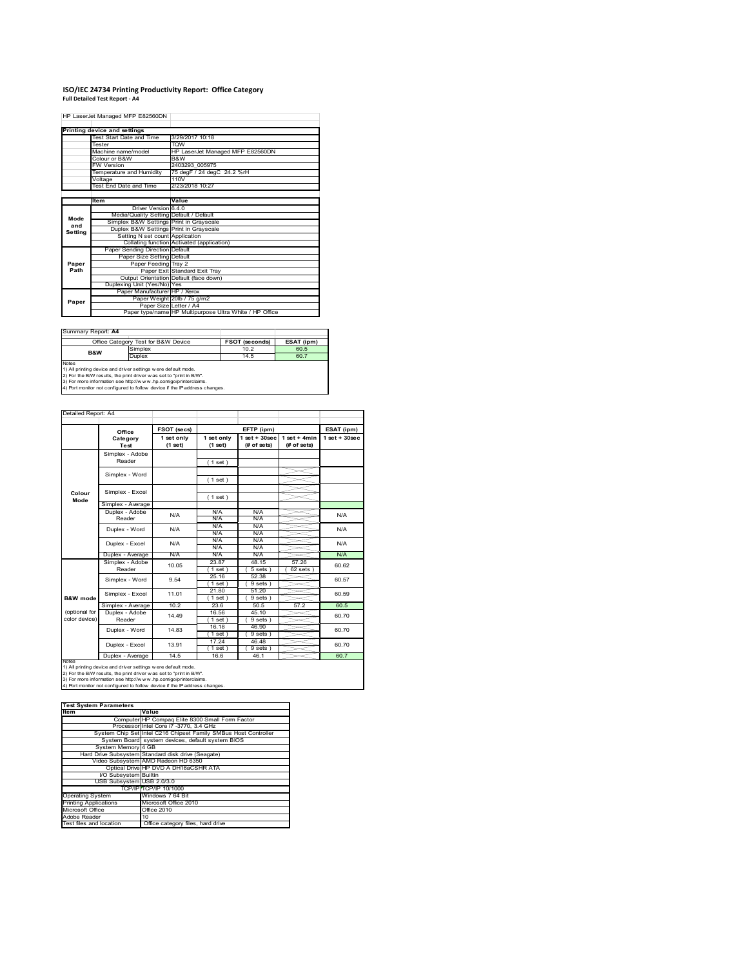## **ISO/IEC 24734 Printing Productivity Report: Office Category Full Detailed Test Report ‐ A4**

HP LaserJet Managed MFP E82560DN

|         | Printing device and settings            |                                                         |
|---------|-----------------------------------------|---------------------------------------------------------|
|         | Test Start Date and Time                | 3/29/2017 10:18                                         |
|         | Tester                                  | <b>TOW</b>                                              |
|         | Machine name/model                      | HP LaserJet Managed MFP E82560DN                        |
|         | Colour or B&W                           | B&W                                                     |
|         | <b>FW Version</b>                       | 2403293 005975                                          |
|         | Temperature and Humidity                | 75 degF / 24 degC 24.2 %rH                              |
|         | Voltage                                 | 110V                                                    |
|         | Test End Date and Time                  | 2/23/2018 10:27                                         |
|         |                                         |                                                         |
|         | <b>Item</b>                             | Value                                                   |
|         | Driver Version 6.4.0                    |                                                         |
| Mode    | Media/Quality Setting Default / Default |                                                         |
| and     | Simplex B&W Settings Print in Grayscale |                                                         |
| Setting | Duplex B&W Settings Print in Grayscale  |                                                         |
|         | Setting N set count Application         |                                                         |
|         |                                         | Collating function Activated (application)              |
|         | Paper Sending Direction Default         |                                                         |
|         | Paper Size Setting Default              |                                                         |
| Paper   | Paper Feeding Tray 2                    |                                                         |
| Path    |                                         | Paper Exit Standard Exit Tray                           |
|         |                                         | Output Orientation Default (face down)                  |
|         | Duplexing Unit (Yes/No) Yes             |                                                         |
|         | Paper Manufacturer HP / Xerox           |                                                         |
| Paper   |                                         | Paper Weight 20lb / 75 g/m2                             |
|         | Paper Size Letter / A4                  |                                                         |
|         |                                         | Paper type/name HP Multipurpose Ultra White / HP Office |

Summary Report: **A4**

|                                                                            | Office Category Test for B&W Device                            | <b>FSOT (seconds)</b> | ESAT (ipm) |  |  |  |
|----------------------------------------------------------------------------|----------------------------------------------------------------|-----------------------|------------|--|--|--|
| <b>B&amp;W</b>                                                             | Simplex                                                        | 10.2                  | 60.5       |  |  |  |
|                                                                            | Duplex                                                         | 14.5                  | 60.7       |  |  |  |
| <b>Notes</b>                                                               |                                                                |                       |            |  |  |  |
|                                                                            | 1) All printing device and driver settings w ere default mode. |                       |            |  |  |  |
| 2) For the B/W results, the print driver was set to "print in B/W".        |                                                                |                       |            |  |  |  |
| [3] For more information see http://www.hp.com/go/printerclaims.           |                                                                |                       |            |  |  |  |
| 4) Port monitor not configured to follow device if the IP address changes. |                                                                |                       |            |  |  |  |

| Detailed Report: A4            |                           |                       |                       |                                   |                               |                    |
|--------------------------------|---------------------------|-----------------------|-----------------------|-----------------------------------|-------------------------------|--------------------|
|                                | Office                    | FSOT (secs)           |                       | EFTP (ipm)                        |                               | ESAT (ipm)         |
|                                | Category<br>Test          | 1 set only<br>(1 set) | 1 set only<br>(1 set) | $1$ set + $30$ sec<br>(# of sets) | $1$ set + 4min<br>(# of sets) | $1$ set + $30$ sec |
|                                | Simplex - Adobe<br>Reader |                       | (1 set)               |                                   |                               |                    |
|                                | Simplex - Word            |                       | (1 set)               |                                   |                               |                    |
| Colour<br>Mode                 | Simplex - Excel           |                       | (1 set)               |                                   |                               |                    |
|                                | Simplex - Average         |                       |                       |                                   |                               |                    |
|                                | Duplex - Adobe<br>Reader  | N/A                   | <b>N/A</b><br>N/A     | N/A<br>N/A                        |                               | N/A                |
|                                | Duplex - Word             | N/A                   | N/A<br>N/A            | N/A<br>N/A                        |                               | N/A                |
|                                | Duplex - Excel            | N/A                   | N/A<br>N/A            | N/A<br>N/A                        |                               | N/A                |
|                                | Duplex - Average          | N/A                   | N/A                   | N/A                               |                               | N/A                |
|                                | Simplex - Adobe<br>Reader | 10.05                 | 23.87<br>1 set        | 48.15<br>5 sets )                 | 57.26<br>62 sets              | 60.62              |
|                                | Simplex - Word            | 9.54                  | 25.16<br>(1 set)      | 52.38<br>9 sets)                  |                               | 60.57              |
| B&W mode                       | Simplex - Excel           | 11.01                 | 21.80<br>$1$ set)     | 51.20<br>$9 sets$ )               |                               | 60.59              |
|                                | Simplex - Average         | 10.2                  | 236                   | 50.5                              | 57.2                          | 60.5               |
| (optional for<br>color device) | Duplex - Adobe<br>Reader  | 14 4 9                | 16.56<br>$1$ set $)$  | 45.10<br>$9 sets$ )               |                               | 60.70              |
|                                | Duplex - Word             | 14.83                 | 16.18<br>$1$ set)     | 46.90<br>$9 sets$ )               |                               | 60.70              |
|                                | Duplex - Excel            | 13.91                 | 17.24<br>(1 set)      | 46.48<br>9 sets)                  |                               | 60.70              |
| <b><i><u>Rintee</u></i></b>    | Duplex - Average          | 14.5                  | 16.6                  | 46.1                              |                               | 60.7               |

Notes<br>1) All printing device and driver settings w ere default mode.<br>2) For the B/W results, the print driver was set to "print in B/W".<br>3) For more information see http://www.hp.com/go/printerclaims.<br>4) Por more informati

### **Test System Parameters**

| <b>Item</b>                  | Value                                                           |
|------------------------------|-----------------------------------------------------------------|
|                              | Computer HP Compaq Elite 8300 Small Form Factor                 |
|                              | Processor Intel Core i7 -3770, 3.4 GHz                          |
|                              | System Chip Set Intel C216 Chipset Family SMBus Host Controller |
|                              | System Board system devices, default system BIOS                |
| System Memory 4 GB           |                                                                 |
|                              | Hard Drive Subsystem Standard disk drive (Seagate)              |
|                              | Video Subsystem AMD Radeon HD 6350                              |
|                              | Optical Drive HP DVD A DH16aCSHR ATA                            |
| I/O Subsystem Builtin        |                                                                 |
| USB Subsystem USB 2.0/3.0    |                                                                 |
|                              | TCP/IP TCP/IP 10/1000                                           |
| <b>Operating System</b>      | Windows 7 64 Bit                                                |
| <b>Printing Applications</b> | Microsoft Office 2010                                           |
| Microsoft Office             | Office 2010                                                     |
| Adobe Reader                 | 10                                                              |
| Test files and location      | Office category files, hard drive                               |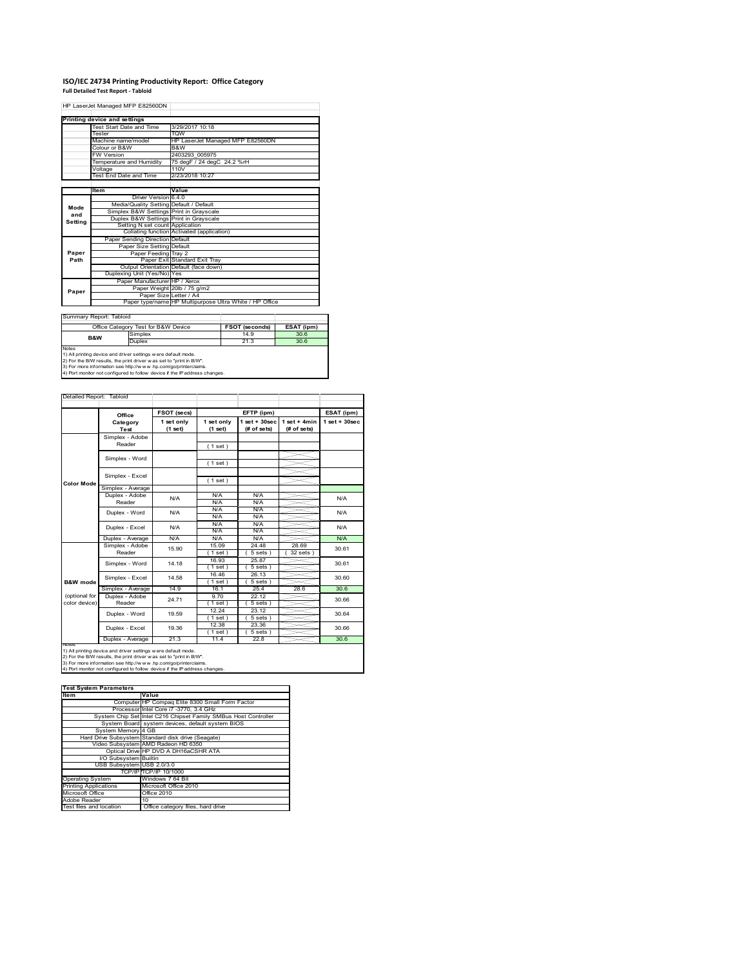## **ISO/IEC 24734 Printing Productivity Report: Office Category Full Detailed Test Report ‐ Tabloid**

HP LaserJet Managed MFP E82560DN

|         | Printing device and settings            |                                                         |
|---------|-----------------------------------------|---------------------------------------------------------|
|         | Test Start Date and Time                | 3/29/2017 10:18                                         |
|         | Tester                                  | <b>TOW</b>                                              |
|         | Machine name/model                      | HP LaserJet Managed MFP E82560DN                        |
|         | Colour or B&W                           | B&W                                                     |
|         | <b>FW Version</b>                       | 2403293 005975                                          |
|         | Temperature and Humidity                | 75 degF / 24 degC 24.2 %rH                              |
|         | Voltage                                 | 110 <sub>V</sub>                                        |
|         | Test End Date and Time                  | 2/23/2018 10:27                                         |
|         |                                         |                                                         |
|         | Item                                    | Value                                                   |
|         | Driver Version 6.4.0                    |                                                         |
| Mode    | Media/Quality Setting Default / Default |                                                         |
| and     | Simplex B&W Settings Print in Grayscale |                                                         |
| Setting | Duplex B&W Settings Print in Grayscale  |                                                         |
|         | Setting N set count Application         |                                                         |
|         |                                         | Collating function Activated (application)              |
|         | Paper Sending Direction Default         |                                                         |
|         | Paper Size Setting Default              |                                                         |
| Paper   | Paper Feeding Tray 2                    |                                                         |
| Path    |                                         | Paper Exit Standard Exit Trav                           |
|         |                                         | Output Orientation Default (face down)                  |
|         | Duplexing Unit (Yes/No) Yes             |                                                         |
|         | Paper Manufacturer HP / Xerox           |                                                         |
| Paper   |                                         | Paper Weight 20lb / 75 g/m2                             |
|         | Paper Size Letter / A4                  |                                                         |
|         |                                         | Paper type/name HP Multipurpose Ultra White / HP Office |

Summary Report: Tabloid

|                                                                   | Office Category Test for B&W Device | <b>FSOT (seconds)</b> | ESAT (ipm) |  |  |
|-------------------------------------------------------------------|-------------------------------------|-----------------------|------------|--|--|
| <b>B&amp;W</b>                                                    | Simplex                             | 14.9                  | 30.6       |  |  |
|                                                                   | Duplex                              | 21.3                  | 30.6       |  |  |
| <b>Notes</b>                                                      |                                     |                       |            |  |  |
| 1) All printing device and driver settings w ere default mode.    |                                     |                       |            |  |  |
| 2) For the B/W results the print driver was set to "print in B/W" |                                     |                       |            |  |  |

2) For the B/W results, the print driver w as set to "print in B/W".<br>3) For more information see http://w w w.hp.com/go/printerclaims.<br>4) Port monitor not configured to follow device if the IP address changes.

|                                                                                                                                                                                                                           | Office                              | FSOT (secs)           |                       | EFTP (ipm)                        |                               | ESAT (ipm)        |
|---------------------------------------------------------------------------------------------------------------------------------------------------------------------------------------------------------------------------|-------------------------------------|-----------------------|-----------------------|-----------------------------------|-------------------------------|-------------------|
|                                                                                                                                                                                                                           | Category<br>Test                    | 1 set only<br>(1 set) | 1 set only<br>(1 set) | $1$ set + $30$ sec<br>(# of sets) | $1$ set + 4min<br>(# of sets) | $1$ set $+30$ sec |
|                                                                                                                                                                                                                           | Simplex - Adobe                     |                       |                       |                                   |                               |                   |
|                                                                                                                                                                                                                           | Reader                              |                       | (1 set)               |                                   |                               |                   |
|                                                                                                                                                                                                                           |                                     |                       |                       |                                   |                               |                   |
|                                                                                                                                                                                                                           | Simplex - Word                      |                       | (1 set)               |                                   |                               |                   |
|                                                                                                                                                                                                                           | Simplex - Excel                     |                       |                       |                                   |                               |                   |
| <b>Color Mode</b>                                                                                                                                                                                                         |                                     |                       | (1 set)               |                                   |                               |                   |
|                                                                                                                                                                                                                           | Simplex - Average                   |                       |                       |                                   |                               |                   |
|                                                                                                                                                                                                                           | Duplex - Adobe                      | N/A                   | N/A                   | N/A                               |                               | N/A               |
|                                                                                                                                                                                                                           | Reader                              |                       | N/A                   | N/A                               |                               |                   |
|                                                                                                                                                                                                                           | Duplex - Word                       | N/A                   | N/A                   | N/A                               |                               | N/A               |
|                                                                                                                                                                                                                           |                                     |                       | N/A                   | N/A                               |                               |                   |
|                                                                                                                                                                                                                           | Duplex - Excel                      | N/A                   | <b>N/A</b>            | N/A                               |                               | N/A               |
|                                                                                                                                                                                                                           |                                     |                       | <b>N/A</b>            | N/A                               |                               |                   |
|                                                                                                                                                                                                                           | Duplex - Average<br>Simplex - Adobe | N/A                   | N/A                   | N/A                               |                               | N/A               |
|                                                                                                                                                                                                                           | Reader<br>Simplex - Word            | 15.90                 | 15.09                 | 24.48                             | 28.69                         | 30.61             |
|                                                                                                                                                                                                                           |                                     |                       | $1$ set               | 5 sets                            | 32 sets                       |                   |
|                                                                                                                                                                                                                           |                                     | 14.18                 | 16.93<br>$1$ set $)$  | 25.87<br>5 sets                   |                               | 30.61             |
|                                                                                                                                                                                                                           |                                     |                       | 16.46                 | 26.13                             |                               | 30.60             |
| B&W mode                                                                                                                                                                                                                  | Simplex - Excel                     | 14.58                 | $1$ set)              | $5 sets$ )                        |                               |                   |
|                                                                                                                                                                                                                           | Simplex - Average                   | 14.9                  | 16.1                  | 25.4                              | 28.6                          | 30.6              |
| (optional for                                                                                                                                                                                                             | Duplex - Adobe                      |                       | 9.70                  | 22.12                             |                               |                   |
| color device)                                                                                                                                                                                                             | Reader                              | 24.71                 | $1$ set $)$           | 5 sets                            |                               | 30.66             |
|                                                                                                                                                                                                                           |                                     |                       | 12.24                 | 23.12                             |                               |                   |
|                                                                                                                                                                                                                           | Duplex - Word                       | 19.59                 | (1 set )              | 5 sets )                          |                               | 30.64             |
|                                                                                                                                                                                                                           |                                     |                       | 12.38                 | 23.36                             |                               |                   |
|                                                                                                                                                                                                                           | Duplex - Excel                      | 19.36                 | $1$ set               | 5 sets                            |                               | 30.66             |
|                                                                                                                                                                                                                           | Duplex - Average                    | 21.3                  | 11.4                  | 22.8                              |                               | 30.6              |
| <b>INOTES</b><br>1) All printing device and driver settings w ere default mode.<br>2) For the B/W results, the print driver was set to "print in B/W".<br>3) For more information see http://www.hp.com/go/printerclaims. |                                     |                       |                       |                                   |                               |                   |

### **Item Value Test System Parameters**

| litem                        | Value                                                           |
|------------------------------|-----------------------------------------------------------------|
|                              | Computer HP Compag Elite 8300 Small Form Factor                 |
|                              | Processor Intel Core i7 -3770, 3.4 GHz                          |
|                              | System Chip Set Intel C216 Chipset Family SMBus Host Controller |
|                              | System Board system devices, default system BIOS                |
| System Memory 4 GB           |                                                                 |
|                              | Hard Drive Subsystem Standard disk drive (Seagate)              |
|                              | Video Subsystem AMD Radeon HD 6350                              |
|                              | Optical Drive HP DVD A DH16aCSHR ATA                            |
| I/O Subsystem Builtin        |                                                                 |
| USB Subsystem USB 2.0/3.0    |                                                                 |
|                              | TCP/IP TCP/IP 10/1000                                           |
| <b>Operating System</b>      | Windows 7 64 Bit                                                |
| <b>Printing Applications</b> | Microsoft Office 2010                                           |
| Microsoft Office             | Office 2010                                                     |
| Adobe Reader                 | 10                                                              |
| Test files and location      | Office category files, hard drive                               |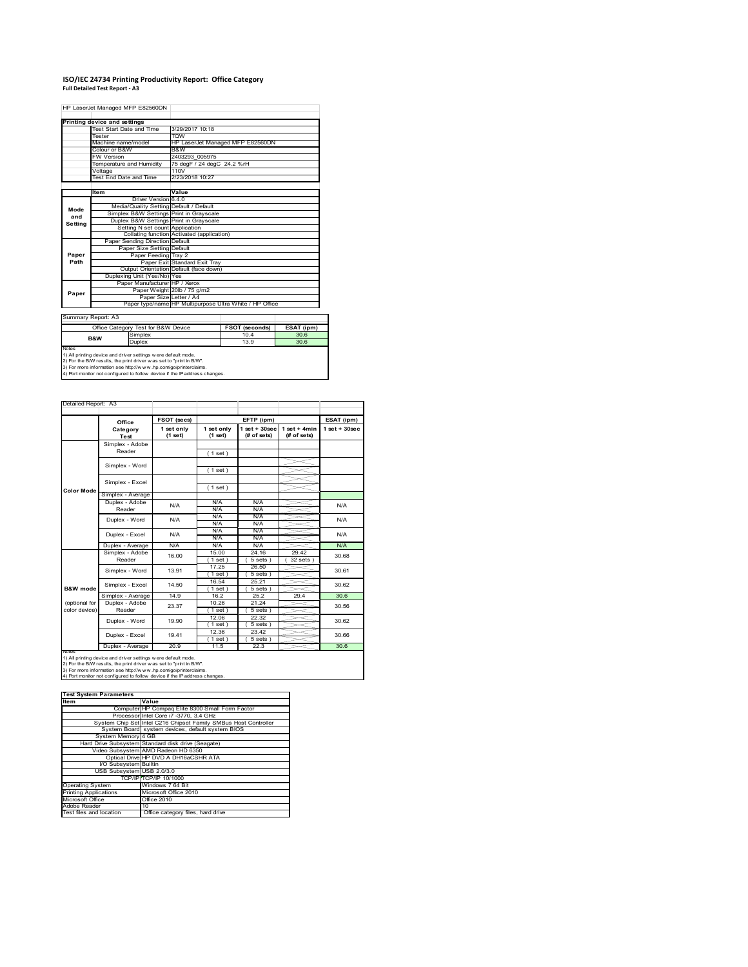## **ISO/IEC 24734 Printing Productivity Report: Office Category Full Detailed Test Report ‐ A3**

HP LaserJet Managed MFP E82560DN

|         | Printing device and settings            |                                                         |
|---------|-----------------------------------------|---------------------------------------------------------|
|         | Test Start Date and Time                | 3/29/2017 10:18                                         |
|         | Tester                                  | <b>TOW</b>                                              |
|         | Machine name/model                      | HP LaserJet Managed MFP E82560DN                        |
|         | Colour or B&W                           | B&W                                                     |
|         | <b>FW Version</b>                       | 2403293 005975                                          |
|         | Temperature and Humidity                | 75 degF / 24 degC 24.2 %rH                              |
|         | Voltage                                 | 110V                                                    |
|         | Test End Date and Time                  | 2/23/2018 10:27                                         |
|         |                                         |                                                         |
|         | ltem                                    | Value                                                   |
|         | Driver Version 6.4.0                    |                                                         |
| Mode    | Media/Quality Setting Default / Default |                                                         |
| and     | Simplex B&W Settings Print in Grayscale |                                                         |
| Setting | Duplex B&W Settings Print in Grayscale  |                                                         |
|         | Setting N set count Application         |                                                         |
|         |                                         | Collating function Activated (application)              |
|         | Paper Sending Direction Default         |                                                         |
|         | Paper Size Setting Default              |                                                         |
| Paper   | Paper Feeding Tray 2                    |                                                         |
| Path    |                                         | Paper Exit Standard Exit Tray                           |
|         |                                         | Output Orientation Default (face down)                  |
|         | Duplexing Unit (Yes/No) Yes             |                                                         |
|         | Paper Manufacturer HP / Xerox           |                                                         |
| Paper   |                                         | Paper Weight 20lb / 75 g/m2                             |
|         | Paper Size Letter / A4                  |                                                         |
|         |                                         | Paper type/name HP Multipurpose Ultra White / HP Office |
|         |                                         |                                                         |

Summary Report: A3

| Office Category Test for B&W Device |                                                                     | <b>FSOT (seconds)</b> | ESAT (ipm) |
|-------------------------------------|---------------------------------------------------------------------|-----------------------|------------|
| <b>B&amp;W</b>                      | Simplex                                                             | 10.4                  | 30.6       |
|                                     | Duplex                                                              | 13.9                  | 30.6       |
| <b>Notes</b>                        |                                                                     |                       |            |
|                                     | 1) All printing device and driver settings w ere default mode.      |                       |            |
|                                     | 2) For the B/W results, the print driver was set to "print in B/W". |                       |            |
|                                     | 3) For more information see http://www.hp.com/go/printerclaims      |                       |            |

3) For more information see http://w w w .hp.com/go/printerclaims. 4) Port monitor not configured to follow device if the IP address changes.

| Detailed Report: A3            |                           |                       |                       |                                   |                               |                    |
|--------------------------------|---------------------------|-----------------------|-----------------------|-----------------------------------|-------------------------------|--------------------|
|                                | Office                    | FSOT (secs)           |                       | EFTP (ipm)                        |                               | ESAT (ipm)         |
|                                | Category<br>Test          | 1 set only<br>(1 set) | 1 set only<br>(1 set) | $1$ set + $30$ sec<br>(# of sets) | $1$ set + 4min<br>(# of sets) | $1$ set + $30$ sec |
|                                | Simplex - Adobe<br>Reader |                       | (1 set)               |                                   |                               |                    |
|                                | Simplex - Word            |                       | (1 set)               |                                   |                               |                    |
|                                | Simplex - Excel           |                       |                       |                                   |                               |                    |
| <b>Color Mode</b>              | Simplex - Average         |                       | (1 set)               |                                   |                               |                    |
|                                | Duplex - Adobe<br>Reader  | N/A                   | N/A<br>N/A            | N/A<br>N/A                        |                               | N/A                |
|                                | Duplex - Word             | N/A                   | N/A<br>N/A            | N/A<br>N/A                        |                               | N/A                |
|                                | Duplex - Excel            | N/A                   | N/A<br>N/A            | N/A<br>N/A                        |                               | N/A                |
|                                | Duplex - Average          | N/A                   | N/A                   | N/A                               |                               | N/A                |
|                                | Simplex - Adobe<br>Reader | 16.00                 | 15.00<br>$1$ set)     | 24.16<br>$5 sets$ )               | 29.42<br>32 sets              | 30.68              |
|                                | Simplex - Word            | 13.91                 | 17.25<br>$1$ set)     | 26.50<br>5 sets)                  |                               | 30.61              |
| B&W mode                       | Simplex - Excel           | 14.50                 | 16.54<br>$1$ set)     | 25.21<br>$5 sets$ )               |                               | 30.62              |
|                                | Simplex - Average         | 14.9                  | 16.2                  | 252                               | 29.4                          | 30.6               |
| (optional for<br>color device) | Duplex - Adobe<br>Reader  | 23.37                 | 10.26<br>$1$ set $)$  | 21.24<br>$5 sets$ )               |                               | 30.56              |
|                                | Duplex - Word             | 19.90                 | 12.06<br>$1$ set)     | 22.32<br>5 sets)                  |                               | 30.62              |
|                                | Duplex - Excel            | 19.41                 | 12.36<br>$1$ set)     | 23.42<br>$5 sets$ )               |                               | 30.66              |
| <b>INOTES</b>                  | Duplex - Average          | 20.9                  | 11.5                  | 22.3                              |                               | 30.6               |

notes<br>1) All printing device and driver settings w ere default mode.<br>2) For the B/W results, the print driver was set to "print in B/W".<br>3) For more information see http://www.vhp.com/go/printerclaims.<br>4) For more informat

| <b>Test System Parameters</b><br><b>Item</b>                    |  |  |  |  |  |  |
|-----------------------------------------------------------------|--|--|--|--|--|--|
| Value                                                           |  |  |  |  |  |  |
| Computer HP Compaq Elite 8300 Small Form Factor                 |  |  |  |  |  |  |
| Processor Intel Core i7 -3770, 3.4 GHz                          |  |  |  |  |  |  |
| System Chip Set Intel C216 Chipset Family SMBus Host Controller |  |  |  |  |  |  |
| System Board system devices, default system BIOS                |  |  |  |  |  |  |
| System Memory 4 GB                                              |  |  |  |  |  |  |
| Hard Drive Subsystem Standard disk drive (Seagate)              |  |  |  |  |  |  |
| Video Subsystem AMD Radeon HD 6350                              |  |  |  |  |  |  |
| Optical Drive HP DVD A DH16aCSHR ATA                            |  |  |  |  |  |  |
| I/O Subsystem Builtin                                           |  |  |  |  |  |  |
| USB Subsystem USB 2.0/3.0                                       |  |  |  |  |  |  |
| TCP/IPITCP/IP 10/1000                                           |  |  |  |  |  |  |
| Windows 7 64 Bit                                                |  |  |  |  |  |  |
| Microsoft Office 2010                                           |  |  |  |  |  |  |
| Office 2010                                                     |  |  |  |  |  |  |
| 10 <sup>1</sup>                                                 |  |  |  |  |  |  |
| Office category files, hard drive                               |  |  |  |  |  |  |
|                                                                 |  |  |  |  |  |  |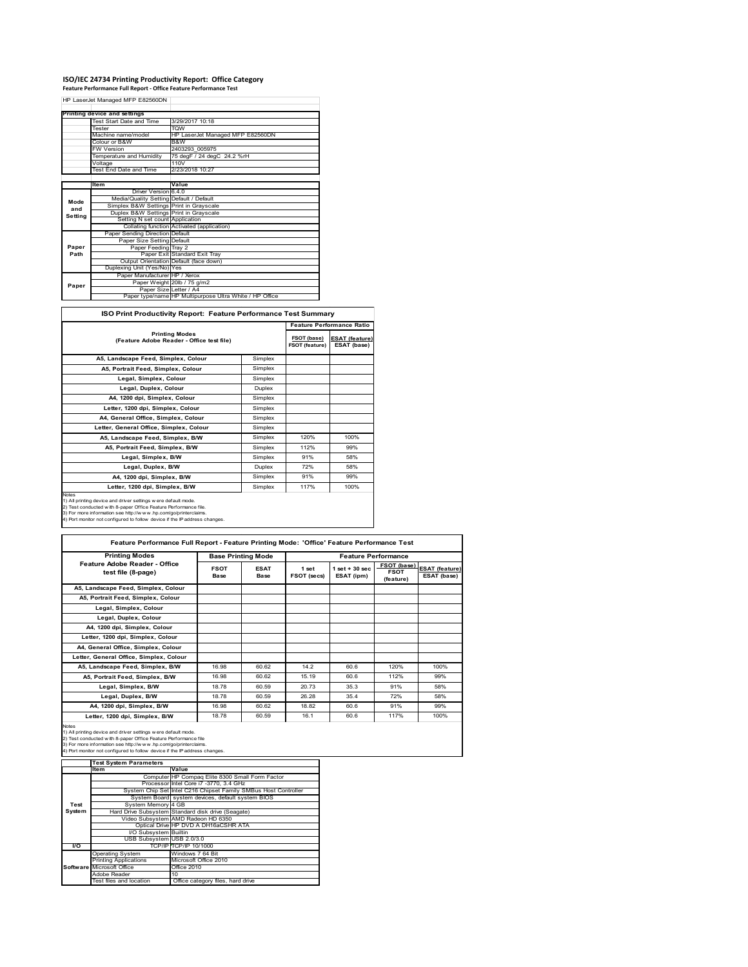## **ISO/IEC 24734 Printing Productivity Report: Office Category Feature Performance Full Report ‐ Office Feature Performance Test**

|         | HP LaserJet Managed MFP E82560DN        |                                                         |
|---------|-----------------------------------------|---------------------------------------------------------|
|         |                                         |                                                         |
|         | Printing device and settings            |                                                         |
|         | Test Start Date and Time                | 3/29/2017 10:18                                         |
|         | Tester                                  | <b>TOW</b>                                              |
|         | Machine name/model                      | HP LaserJet Managed MFP E82560DN                        |
|         | Colour or B&W                           | B&W                                                     |
|         | <b>FW Version</b>                       | 2403293 005975                                          |
|         | Temperature and Humidity                | 75 degF / 24 degC 24.2 %rH                              |
|         | Voltage                                 | 110V                                                    |
|         | Test End Date and Time                  | 2/23/2018 10:27                                         |
|         |                                         |                                                         |
|         | <b>Item</b>                             | Value                                                   |
|         | Driver Version 6.4.0                    |                                                         |
| Mode    | Media/Quality Setting Default / Default |                                                         |
| and     | Simplex B&W Settings Print in Grayscale |                                                         |
| Setting | Duplex B&W Settings Print in Grayscale  |                                                         |
|         | Setting N set count Application         |                                                         |
|         |                                         | Collating function Activated (application)              |
|         | Paper Sending Direction Default         |                                                         |
|         | Paper Size Setting Default              |                                                         |
| Paper   | Paper Feeding Tray 2                    |                                                         |
| Path    |                                         | Paper Exit Standard Exit Tray                           |
|         |                                         | Output Orientation Default (face down)                  |
|         | Duplexing Unit (Yes/No) Yes             |                                                         |
|         | Paper Manufacturer HP / Xerox           |                                                         |
| Paper   |                                         | Paper Weight 20lb / 75 g/m2                             |
|         | Paper Size Letter / A4                  |                                                         |
|         |                                         | Paper type/name HP Multipurpose Ultra White / HP Office |

**ISO Print Productivity Report: Feature Performance Test Summary**

|                                                                                                                                                                                                                                                                                                   |                                      |                                      | <b>Feature Performance Ratio</b> |
|---------------------------------------------------------------------------------------------------------------------------------------------------------------------------------------------------------------------------------------------------------------------------------------------------|--------------------------------------|--------------------------------------|----------------------------------|
| <b>Printing Modes</b><br>(Feature Adobe Reader - Office test file)                                                                                                                                                                                                                                | FSOT (base)<br><b>FSOT (feature)</b> | <b>ESAT (feature)</b><br>ESAT (base) |                                  |
| A5. Landscape Feed. Simplex. Colour                                                                                                                                                                                                                                                               | Simplex                              |                                      |                                  |
| A5, Portrait Feed, Simplex, Colour                                                                                                                                                                                                                                                                | Simplex                              |                                      |                                  |
| Legal, Simplex, Colour                                                                                                                                                                                                                                                                            | Simplex                              |                                      |                                  |
| Legal, Duplex, Colour                                                                                                                                                                                                                                                                             | Duplex                               |                                      |                                  |
| A4, 1200 dpi, Simplex, Colour                                                                                                                                                                                                                                                                     | Simplex                              |                                      |                                  |
| Letter, 1200 dpi, Simplex, Colour                                                                                                                                                                                                                                                                 | Simplex                              |                                      |                                  |
| A4, General Office, Simplex, Colour                                                                                                                                                                                                                                                               | Simplex                              |                                      |                                  |
| Letter, General Office, Simplex, Colour                                                                                                                                                                                                                                                           | Simplex                              |                                      |                                  |
| A5, Landscape Feed, Simplex, B/W                                                                                                                                                                                                                                                                  | Simplex                              | 120%                                 | 100%                             |
| A5, Portrait Feed, Simplex, B/W                                                                                                                                                                                                                                                                   | Simplex                              | 112%                                 | 99%                              |
| Legal, Simplex, B/W                                                                                                                                                                                                                                                                               | Simplex                              | 91%                                  | 58%                              |
| Legal, Duplex, B/W                                                                                                                                                                                                                                                                                | Duplex                               | 72%                                  | 58%                              |
| A4, 1200 dpi, Simplex, B/W                                                                                                                                                                                                                                                                        | Simplex                              | 91%                                  | 99%                              |
| Letter, 1200 dpi, Simplex, B/W                                                                                                                                                                                                                                                                    | Simplex                              | 117%                                 | 100%                             |
| <b>Notes</b><br>1) All printing device and driver settings were default mode.<br>2) Test conducted with 8-paper Office Feature Performance file.<br>3) For more information see http://www.hp.com/go/printerclaims.<br>4) Port monitor not configured to follow device if the IP address changes. |                                      |                                      |                                  |

| <b>Printing Modes</b>                                                                                                                                                                                                                                                                             | <b>Base Printing Mode</b>  |                            | <b>Feature Performance</b> |                                  |                                                |                                      |
|---------------------------------------------------------------------------------------------------------------------------------------------------------------------------------------------------------------------------------------------------------------------------------------------------|----------------------------|----------------------------|----------------------------|----------------------------------|------------------------------------------------|--------------------------------------|
| Feature Adobe Reader - Office<br>test file (8-page)                                                                                                                                                                                                                                               | <b>FSOT</b><br><b>Base</b> | <b>ESAT</b><br><b>Base</b> | 1 set<br>FSOT (secs)       | $1$ set $+30$ sec.<br>ESAT (ipm) | <b>FSOT (base)</b><br><b>FSOT</b><br>(feature) | <b>ESAT (feature)</b><br>ESAT (base) |
| A5, Landscape Feed, Simplex, Colour                                                                                                                                                                                                                                                               |                            |                            |                            |                                  |                                                |                                      |
| A5. Portrait Feed. Simplex. Colour                                                                                                                                                                                                                                                                |                            |                            |                            |                                  |                                                |                                      |
| Legal, Simplex, Colour                                                                                                                                                                                                                                                                            |                            |                            |                            |                                  |                                                |                                      |
| Legal, Duplex, Colour                                                                                                                                                                                                                                                                             |                            |                            |                            |                                  |                                                |                                      |
| A4. 1200 dpi. Simplex. Colour                                                                                                                                                                                                                                                                     |                            |                            |                            |                                  |                                                |                                      |
| Letter, 1200 dpi, Simplex, Colour                                                                                                                                                                                                                                                                 |                            |                            |                            |                                  |                                                |                                      |
| A4, General Office, Simplex, Colour                                                                                                                                                                                                                                                               |                            |                            |                            |                                  |                                                |                                      |
| Letter, General Office, Simplex, Colour                                                                                                                                                                                                                                                           |                            |                            |                            |                                  |                                                |                                      |
| A5. Landscape Feed. Simplex. B/W                                                                                                                                                                                                                                                                  | 16.98                      | 60.62                      | 14.2                       | 60.6                             | 120%                                           | 100%                                 |
| A5. Portrait Feed. Simplex. B/W                                                                                                                                                                                                                                                                   | 16.98                      | 60.62                      | 15.19                      | 60.6                             | 112%                                           | 99%                                  |
| Legal, Simplex, B/W                                                                                                                                                                                                                                                                               | 18.78                      | 60.59                      | 20.73                      | 35.3                             | 91%                                            | 58%                                  |
| Legal, Duplex, B/W                                                                                                                                                                                                                                                                                | 18.78                      | 60.59                      | 26.28                      | 35.4                             | 72%                                            | 58%                                  |
| A4, 1200 dpi, Simplex, B/W                                                                                                                                                                                                                                                                        | 16.98                      | 60.62                      | 18.82                      | 60.6                             | 91%                                            | 99%                                  |
| Letter, 1200 dpi. Simplex, B/W                                                                                                                                                                                                                                                                    | 18.78                      | 60.59                      | 16.1                       | 60.6                             | 117%                                           | 100%                                 |
| <b>Notes</b><br>1) All printing device and driver settings w ere default mode.<br>2) Test conducted with 8-paper Office Feature Performance file<br>3) For more information see http://www.hp.com/go/printerclaims.<br>4) Port monitor not configured to follow device if the IP address changes. |                            |                            |                            |                                  |                                                |                                      |

|        | <b>Test System Parameters</b> |                                                                 |
|--------|-------------------------------|-----------------------------------------------------------------|
|        | <b>Item</b>                   | Value                                                           |
|        |                               | Computer HP Compaq Elite 8300 Small Form Factor                 |
|        |                               | Processor Intel Core i7 -3770, 3.4 GHz                          |
|        |                               | System Chip Set Intel C216 Chipset Family SMBus Host Controller |
|        |                               | System Board system devices, default system BIOS                |
| Test   | System Memory 4 GB            |                                                                 |
| System |                               | Hard Drive Subsystem Standard disk drive (Seagate)              |
|        |                               | Video Subsystem AMD Radeon HD 6350                              |
|        |                               | Optical Drive HP DVD A DH16aCSHR ATA                            |
|        | I/O Subsystem Builtin         |                                                                 |
|        | USB Subsystem USB 2.0/3.0     |                                                                 |
| I/O    |                               | TCP/IPITCP/IP 10/1000                                           |
|        | <b>Operating System</b>       | Windows 7 64 Bit                                                |
|        | <b>Printing Applications</b>  | Microsoft Office 2010                                           |
|        | Software Microsoft Office     | Office 2010                                                     |
|        | Adobe Reader                  | 10                                                              |
|        | Test files and location       | Office category files, hard drive                               |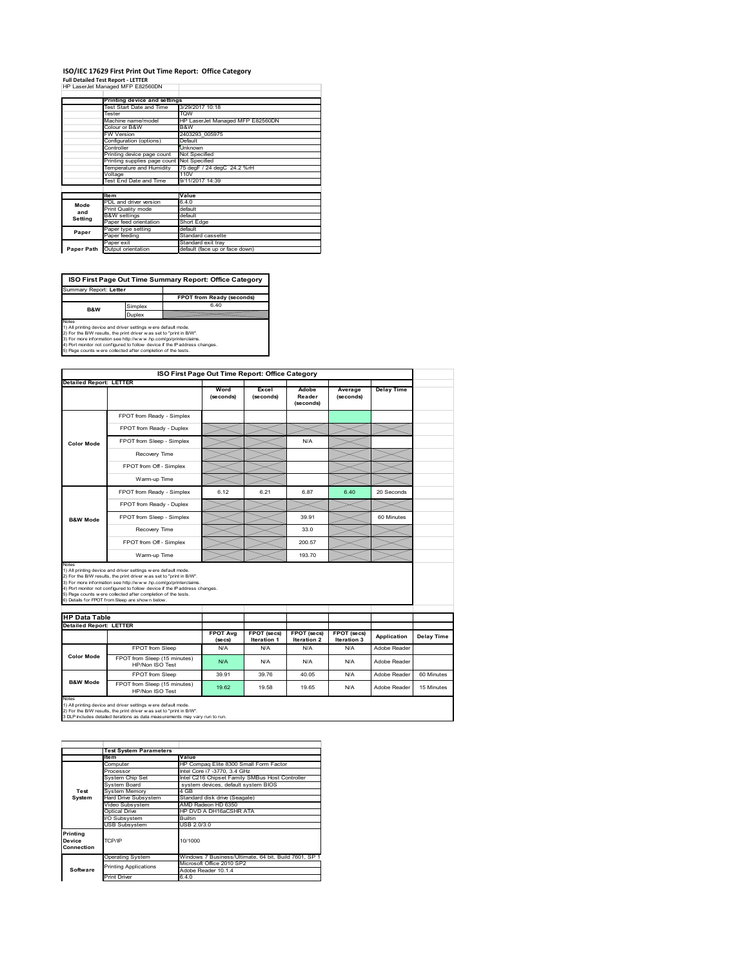### **ISO/IEC 17629 First Print Out Time Report: Office Category Full Detailed Test Report ‐ LETTER** HP LaserJet Managed MFP E82560DN

|            | III Lasciuctivianaged IVIII LUZUUUDIY |                                  |
|------------|---------------------------------------|----------------------------------|
|            | Printing device and settings          |                                  |
|            | Test Start Date and Time              | 3/29/2017 10:18                  |
|            | Tester                                | <b>TOW</b>                       |
|            | Machine name/model                    | HP LaserJet Managed MFP E82560DN |
|            | Colour or B&W                         | B&W                              |
|            | <b>FW Version</b>                     | 2403293_005975                   |
|            | Configuration (options)               | Default                          |
|            | Controller                            | Unknown                          |
|            | Printing device page count            | Not Specified                    |
|            | Printing supplies page count          | Not Specified                    |
|            | Temperature and Humidity              | 75 degF / 24 degC 24.2 %rH       |
|            | Voltage                               | 110V                             |
|            | Test End Date and Time                | 9/11/2017 14:39                  |
|            |                                       |                                  |
|            | <b>Item</b>                           | Value                            |
| Mode       | PDL and driver version                | 6.4.0                            |
| and        | Print Quality mode                    | default                          |
| Setting    | <b>B&amp;W</b> settings               | default                          |
|            | Paper feed orientation                | Short Edge                       |
| Paper      | Paper type setting                    | default                          |
|            | Paper feeding                         | Standard cassette                |
|            | Paper exit                            | Standard exit tray               |
| Paper Path | Output orientation                    | default (face up or face down)   |

**FPOT from Ready (seconds)**<br>
Simplex 6.40 **ISO First Page Out Time Summary Report: Office Category** Summary Report: **Letter**

**B&W**

**Duplex**<br>
Notes<br>
1) All printing device and driver settings were default mode.<br>
2) For the BM reaults, the print driver was set to "print in BM".<br>
3) For more information see http://www.hp.com/golprinterclaims.<br>
4) Port mo

|                                                                 |                                                                                                                                                                                                                                                                                                                                                                                                             | ISO First Page Out Time Report: Office Category |                            |                                   |                            |                   |            |
|-----------------------------------------------------------------|-------------------------------------------------------------------------------------------------------------------------------------------------------------------------------------------------------------------------------------------------------------------------------------------------------------------------------------------------------------------------------------------------------------|-------------------------------------------------|----------------------------|-----------------------------------|----------------------------|-------------------|------------|
| <b>Detailed Report: LETTER</b>                                  |                                                                                                                                                                                                                                                                                                                                                                                                             | Word<br>(seconds)                               | Excel<br>(seconds)         | Adobe<br>Reader<br>(seconds)      | Average<br>(seconds)       | <b>Delay Time</b> |            |
|                                                                 | FPOT from Ready - Simplex                                                                                                                                                                                                                                                                                                                                                                                   |                                                 |                            |                                   |                            |                   |            |
|                                                                 | FPOT from Ready - Duplex                                                                                                                                                                                                                                                                                                                                                                                    |                                                 |                            |                                   |                            |                   |            |
| <b>Color Mode</b>                                               | FPOT from Sleep - Simplex                                                                                                                                                                                                                                                                                                                                                                                   |                                                 |                            | N/A                               |                            |                   |            |
|                                                                 | Recovery Time                                                                                                                                                                                                                                                                                                                                                                                               |                                                 |                            |                                   |                            |                   |            |
|                                                                 | FPOT from Off - Simplex                                                                                                                                                                                                                                                                                                                                                                                     |                                                 |                            |                                   |                            |                   |            |
|                                                                 | Warm-up Time                                                                                                                                                                                                                                                                                                                                                                                                |                                                 |                            |                                   |                            |                   |            |
|                                                                 | FPOT from Ready - Simplex                                                                                                                                                                                                                                                                                                                                                                                   | 6.12                                            | 6.21                       | 6.87                              | 6.40                       | 20 Seconds        |            |
|                                                                 | FPOT from Ready - Duplex                                                                                                                                                                                                                                                                                                                                                                                    |                                                 |                            |                                   |                            |                   |            |
| <b>B&amp;W Mode</b>                                             | FPOT from Sleep - Simplex                                                                                                                                                                                                                                                                                                                                                                                   |                                                 |                            | 39.91                             |                            | 60 Minutes        |            |
|                                                                 | Recovery Time                                                                                                                                                                                                                                                                                                                                                                                               |                                                 |                            | 33.0                              |                            |                   |            |
|                                                                 |                                                                                                                                                                                                                                                                                                                                                                                                             |                                                 |                            |                                   |                            |                   |            |
|                                                                 | FPOT from Off - Simplex                                                                                                                                                                                                                                                                                                                                                                                     |                                                 |                            | 200.57                            |                            |                   |            |
|                                                                 | Warm-up Time                                                                                                                                                                                                                                                                                                                                                                                                |                                                 |                            | 193.70                            |                            |                   |            |
| Notes<br><b>HP Data Table</b><br><b>Detailed Report: LETTER</b> | 1) All printing device and driver settings w ere default mode.<br>2) For the B/W results, the print driver was set to "print in B/W".<br>3) For more information see http://www.hp.com/go/printerclaims.<br>4) Port monitor not configured to follow device if the IP address changes.<br>5) Page counts w ere collected after completion of the tests.<br>6) Details for FPOT from Sleep are show n below. |                                                 |                            |                                   |                            |                   |            |
|                                                                 |                                                                                                                                                                                                                                                                                                                                                                                                             | <b>FPOT Avg</b><br>(se cs)                      | FPOT (secs)<br>Iteration 1 | <b>FPOT</b> (secs)<br>Iteration 2 | FPOT (secs)<br>Iteration 3 | Application       | Delay Time |
|                                                                 | FPOT from Sleep                                                                                                                                                                                                                                                                                                                                                                                             | N/A                                             | N/A                        | N/A                               | N/A                        | Adobe Reader      |            |
| <b>Color Mode</b>                                               | FPOT from Sleep (15 minutes)<br>HP/Non ISO Test                                                                                                                                                                                                                                                                                                                                                             | N/A                                             | N/A                        | N/A                               | N/A                        | Adobe Reader      |            |
| <b>B&amp;W Mode</b>                                             | FPOT from Sleep                                                                                                                                                                                                                                                                                                                                                                                             | 39.91                                           | 39 76                      | 40.05                             | N/A                        | Adobe Reader      | 60 Minutes |

1) All printing device and driver settings w ere default mode.<br>2) For the B/W results, the print driver w as set to "print in B/W".<br>3 DLP includes detailed iterations as data measurements may vary run to run.

|                                  | <b>Test System Parameters</b> |                                                       |
|----------------------------------|-------------------------------|-------------------------------------------------------|
|                                  | Item                          | Value                                                 |
|                                  | Computer                      | HP Compag Elite 8300 Small Form Factor                |
|                                  | Processor                     | Intel Core i7 -3770, 3.4 GHz                          |
|                                  | System Chip Set               | Intel C216 Chipset Family SMBus Host Controller       |
|                                  | System Board                  | system devices, default system BIOS                   |
| Test                             | <b>System Memory</b>          | 4 GB                                                  |
| System                           | Hard Drive Subsystem          | Standard disk drive (Seagate)                         |
|                                  | Video Subsystem               | AMD Radeon HD 6350                                    |
|                                  | Optical Drive                 | HP DVD A DH16aCSHR ATA                                |
|                                  | I/O Subsystem                 | <b>Builtin</b>                                        |
|                                  | <b>USB Subsystem</b>          | USB 2.0/3.0                                           |
| Printing<br>Device<br>Connection | TCP/IP                        | 10/1000                                               |
|                                  | <b>Operating System</b>       | Windows 7 Business/Ultimate, 64 bit, Build 7601, SP 1 |
|                                  | <b>Printing Applications</b>  | Microsoft Office 2010 SP2                             |
| Software                         |                               | Adobe Reader 10.1.4                                   |
|                                  | <b>Print Driver</b>           | 6.4.0                                                 |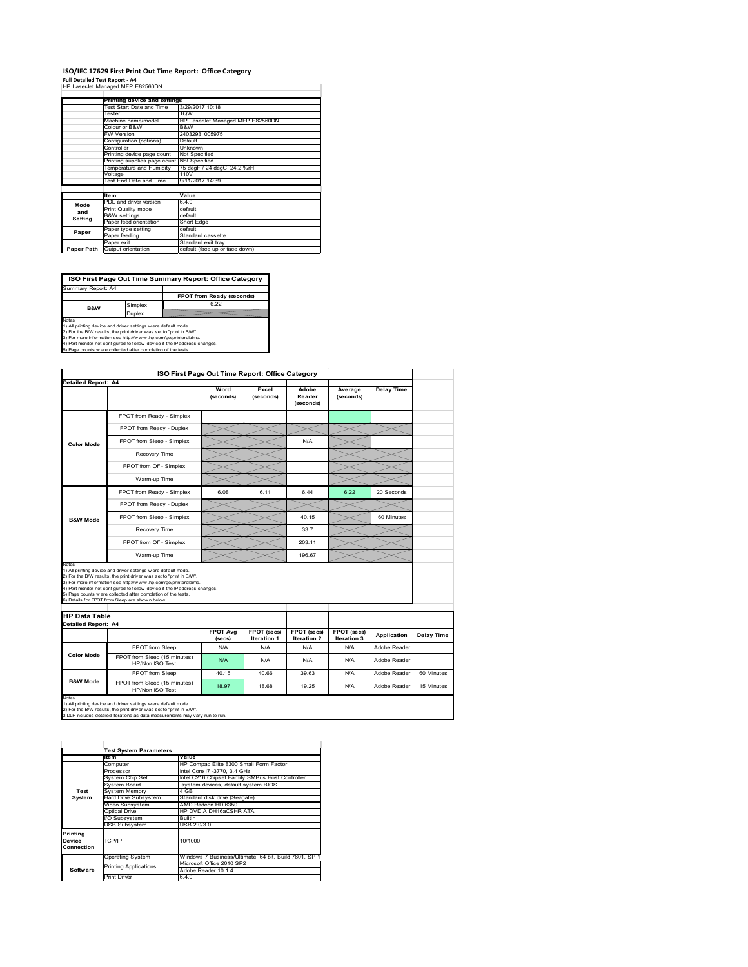## **ISO/IEC 17629 First Print Out Time Report: Office Category**

| Full Detailed Test Report - A4   |  |
|----------------------------------|--|
| HP LaserJet Managed MFP E82560DN |  |

|            | Printing device and settings  |                                  |  |
|------------|-------------------------------|----------------------------------|--|
|            | Test Start Date and Time      | 3/29/2017 10:18                  |  |
|            | Tester                        | <b>TOW</b>                       |  |
|            | Machine name/model            | HP LaserJet Managed MFP E82560DN |  |
|            | Colour or B&W                 | B&W                              |  |
|            | FW Version                    | 2403293 005975                   |  |
|            | Configuration (options)       | Default                          |  |
|            | Controller                    | Unknown                          |  |
|            | Printing device page count    | Not Specified                    |  |
|            | Printing supplies page count  | Not Specified                    |  |
|            | Temperature and Humidity      | 75 degF / 24 degC 24.2 %rH       |  |
|            | Voltage                       | 110V                             |  |
|            | <b>Test End Date and Time</b> | 9/11/2017 14:39                  |  |
|            |                               |                                  |  |
|            | <b>Item</b>                   | Value                            |  |
| Mode       | PDL and driver version        | 6.4.0                            |  |
| and        | Print Quality mode            | default                          |  |
| Setting    | <b>B&amp;W</b> settings       | default                          |  |
|            | Paper feed orientation        | Short Edge                       |  |
| Paper      | Paper type setting            | default                          |  |
|            | Paper feeding                 | Standard cassette                |  |
|            | Paper exit                    | Standard exit tray               |  |
| Paper Path | Output orientation            | default (face up or face down)   |  |

**ISO First Page Out Time Summary Report: Office Category**

**FPOT from Ready (seconds)** Simplex 6.22 Duplex Notes<br>1) All printing device and driver settings were default mode.<br>2) For the BAV results, the print driver was set to "print in BAV".<br>3) For more information see http://www.hp.com/golprinterclaims.<br>4) Port monitor not co Summary Report: A4 **B&W**

|                                                             |                                                                                                                                                                                                                                                                                                                                                                                                             | ISO First Page Out Time Report: Office Category |                                   |                                          |                            |                   |            |
|-------------------------------------------------------------|-------------------------------------------------------------------------------------------------------------------------------------------------------------------------------------------------------------------------------------------------------------------------------------------------------------------------------------------------------------------------------------------------------------|-------------------------------------------------|-----------------------------------|------------------------------------------|----------------------------|-------------------|------------|
| <b>Detailed Report: A4</b>                                  |                                                                                                                                                                                                                                                                                                                                                                                                             |                                                 |                                   |                                          |                            |                   |            |
|                                                             |                                                                                                                                                                                                                                                                                                                                                                                                             | Word<br>(seconds)                               | Excel<br>(seconds)                | Adobe<br>Reader<br>(seconds)             | Average<br>(seconds)       | <b>Delay Time</b> |            |
|                                                             | FPOT from Ready - Simplex                                                                                                                                                                                                                                                                                                                                                                                   |                                                 |                                   |                                          |                            |                   |            |
|                                                             | FPOT from Ready - Duplex                                                                                                                                                                                                                                                                                                                                                                                    |                                                 |                                   |                                          |                            |                   |            |
| <b>Color Mode</b>                                           | FPOT from Sleep - Simplex                                                                                                                                                                                                                                                                                                                                                                                   |                                                 |                                   | N/A                                      |                            |                   |            |
|                                                             | Recovery Time                                                                                                                                                                                                                                                                                                                                                                                               |                                                 |                                   |                                          |                            |                   |            |
|                                                             | FPOT from Off - Simplex                                                                                                                                                                                                                                                                                                                                                                                     |                                                 |                                   |                                          |                            |                   |            |
|                                                             | Warm-up Time                                                                                                                                                                                                                                                                                                                                                                                                |                                                 |                                   |                                          |                            |                   |            |
|                                                             | FPOT from Ready - Simplex                                                                                                                                                                                                                                                                                                                                                                                   | 6.08                                            | 6.11                              | 6.44                                     | 6.22                       | 20 Seconds        |            |
|                                                             | FPOT from Ready - Duplex                                                                                                                                                                                                                                                                                                                                                                                    |                                                 |                                   |                                          |                            |                   |            |
| <b>B&amp;W Mode</b>                                         | FPOT from Sleep - Simplex                                                                                                                                                                                                                                                                                                                                                                                   |                                                 |                                   | 40.15                                    |                            | 60 Minutes        |            |
|                                                             | Recovery Time                                                                                                                                                                                                                                                                                                                                                                                               |                                                 |                                   | 33.7                                     |                            |                   |            |
|                                                             |                                                                                                                                                                                                                                                                                                                                                                                                             |                                                 |                                   |                                          |                            |                   |            |
|                                                             | FPOT from Off - Simplex                                                                                                                                                                                                                                                                                                                                                                                     |                                                 |                                   | 203.11                                   |                            |                   |            |
|                                                             | Warm-up Time                                                                                                                                                                                                                                                                                                                                                                                                |                                                 |                                   | 196.67                                   |                            |                   |            |
| Notes<br><b>HP Data Table</b><br><b>Detailed Report: A4</b> | 1) All printing device and driver settings w ere default mode.<br>2) For the B/W results, the print driver w as set to "print in B/W".<br>3) For more information see http://www.hp.com/go/printerclaims.<br>4) Port monitor not configured to follow device if the IP address changes.<br>5) Page counts w ere collected after completion of the tests.<br>6) Details for FPOT from Sleep are show n below |                                                 |                                   |                                          |                            |                   |            |
|                                                             |                                                                                                                                                                                                                                                                                                                                                                                                             | <b>FPOT Avg</b><br>(se cs)                      | FPOT (secs)<br><b>Iteration 1</b> | <b>FPOT (secs)</b><br><b>Iteration 2</b> | FPOT (secs)<br>Iteration 3 | Application       | Delay Time |
|                                                             | FPOT from Sleep                                                                                                                                                                                                                                                                                                                                                                                             | N/A                                             | N/A                               | N/A                                      | N/A                        | Adobe Reader      |            |
| <b>Color Mode</b>                                           | FPOT from Sleep (15 minutes)<br>HP/Non ISO Test                                                                                                                                                                                                                                                                                                                                                             | N/A                                             | N/A                               | N/A                                      | N/A                        | Adobe Reader      |            |
| <b>B&amp;W Mode</b>                                         | <b>FPOT from Sleep</b>                                                                                                                                                                                                                                                                                                                                                                                      | 40.15                                           | 40.66                             | 39.63                                    | N/A                        | Adobe Reader      | 60 Minutes |

|            | <b>Test System Parameters</b> |                                                       |
|------------|-------------------------------|-------------------------------------------------------|
|            | <b>Item</b>                   | Value                                                 |
|            | Computer                      | HP Compaq Elite 8300 Small Form Factor                |
|            | Processor                     | Intel Core i7 -3770, 3.4 GHz                          |
|            | System Chip Set               | Intel C216 Chipset Family SMBus Host Controller       |
|            | System Board                  | system devices, default system BIOS                   |
| Test       | <b>System Memory</b>          | 4 GB                                                  |
| System     | <b>Hard Drive Subsystem</b>   | Standard disk drive (Seagate)                         |
|            | Video Subsystem               | AMD Radeon HD 6350                                    |
|            | Optical Drive                 | HP DVD A DH16aCSHR ATA                                |
|            | I/O Subsystem                 | <b>Builtin</b>                                        |
|            | <b>USB Subsystem</b>          | USB 2.0/3.0                                           |
| Printing   |                               |                                                       |
| Device     | TCP/IP                        | 10/1000                                               |
| Connection |                               |                                                       |
|            | <b>Operating System</b>       | Windows 7 Business/Ultimate, 64 bit, Build 7601, SP 1 |
|            | <b>Printing Applications</b>  | Microsoft Office 2010 SP2                             |
| Software   |                               | Adobe Reader 10.1.4                                   |
|            | <b>Print Driver</b>           | 6.4.0                                                 |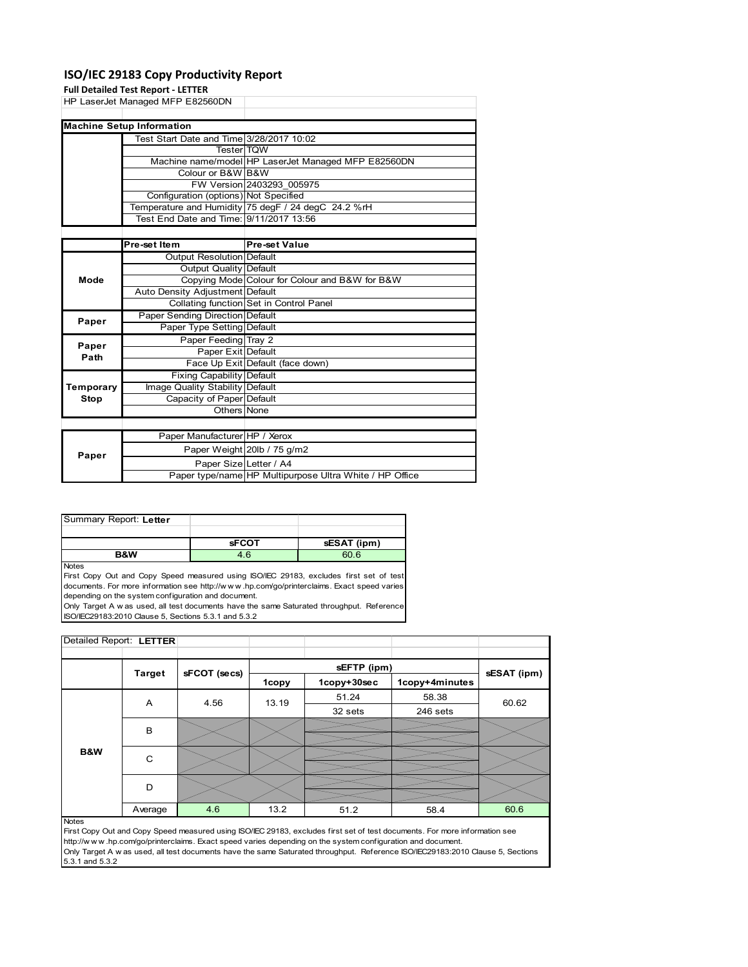### **ISO/IEC 29183 Copy Productivity Report**

|           | <b>Full Detailed Test Report - LETTER</b> |                                                     |
|-----------|-------------------------------------------|-----------------------------------------------------|
|           | HP LaserJet Managed MFP E82560DN          |                                                     |
|           |                                           |                                                     |
|           | <b>Machine Setup Information</b>          |                                                     |
|           | Test Start Date and Time 3/28/2017 10:02  |                                                     |
|           | <b>Tester TQW</b>                         |                                                     |
|           |                                           | Machine name/model HP LaserJet Managed MFP E82560DN |
|           | Colour or B&W B&W                         |                                                     |
|           |                                           | FW Version 2403293 005975                           |
|           | Configuration (options) Not Specified     |                                                     |
|           |                                           | Temperature and Humidity 75 degF / 24 degC 24.2 %rH |
|           | Test End Date and Time: 9/11/2017 13:56   |                                                     |
|           |                                           |                                                     |
|           | Pre-set Item                              | <b>Pre-set Value</b>                                |
|           | Output Resolution Default                 |                                                     |
|           | Output Quality Default                    |                                                     |
| Mode      |                                           | Copying Mode Colour for Colour and B&W for B&W      |
|           | Auto Density Adjustment Default           |                                                     |
|           |                                           | Collating function Set in Control Panel             |
| Paper     | Paper Sending Direction Default           |                                                     |
|           | Paper Type Setting Default                |                                                     |
| Paper     | Paper Feeding Tray 2                      |                                                     |
| Path      | Paper Exit Default                        |                                                     |
|           |                                           | Face Up Exit Default (face down)                    |
|           | Fixing Capability Default                 |                                                     |
| Temporary | Image Quality Stability Default           |                                                     |
| Stop      | Capacity of Paper Default                 |                                                     |
|           | Others None                               |                                                     |
|           |                                           |                                                     |
|           | Paper Manufacturer HP / Xerox             |                                                     |
|           |                                           | Paner Weight 20lb / 75 g/m2                         |

| Paper |                        | Paper Weight 20lb / 75 g/m2                             |
|-------|------------------------|---------------------------------------------------------|
|       | Paper Size Letter / A4 |                                                         |
|       |                        | Paper type/name HP Multipurpose Ultra White / HP Office |
|       |                        |                                                         |

| Summary Report: Letter |              |             |
|------------------------|--------------|-------------|
|                        |              |             |
|                        |              |             |
|                        | <b>sFCOT</b> | sESAT (ipm) |

**Notes** 

First Copy Out and Copy Speed measured using ISO/IEC 29183, excludes first set of test documents. For more information see http://w w w .hp.com/go/printerclaims. Exact speed varies depending on the system configuration and document.

Only Target A w as used, all test documents have the same Saturated throughput. Reference ISO/IEC29183:2010 Clause 5, Sections 5.3.1 and 5.3.2

| Detailed Report: LETTER |               |              |       |             |                |             |
|-------------------------|---------------|--------------|-------|-------------|----------------|-------------|
|                         |               |              |       |             |                |             |
|                         | <b>Target</b> | sFCOT (secs) |       | sEFTP (ipm) |                | sESAT (ipm) |
|                         |               |              | 1copy | 1copy+30sec | 1copy+4minutes |             |
|                         | A             | 4.56         | 13.19 | 51.24       | 58.38          | 60.62       |
|                         |               |              |       | 32 sets     | 246 sets       |             |
|                         | B             |              |       |             |                |             |
|                         |               |              |       |             |                |             |
| B&W                     | C             |              |       |             |                |             |
|                         |               |              |       |             |                |             |
|                         | D             |              |       |             |                |             |
|                         |               |              |       |             |                |             |
|                         | Average       | 4.6          | 13.2  | 51.2        | 58.4           | 60.6        |

### Notes

First Copy Out and Copy Speed measured using ISO/IEC 29183, excludes first set of test documents. For more information see http://w w w .hp.com/go/printerclaims. Exact speed varies depending on the system configuration and document. Only Target A w as used, all test documents have the same Saturated throughput. Reference ISO/IEC29183:2010 Clause 5, Sections 5.3.1 and 5.3.2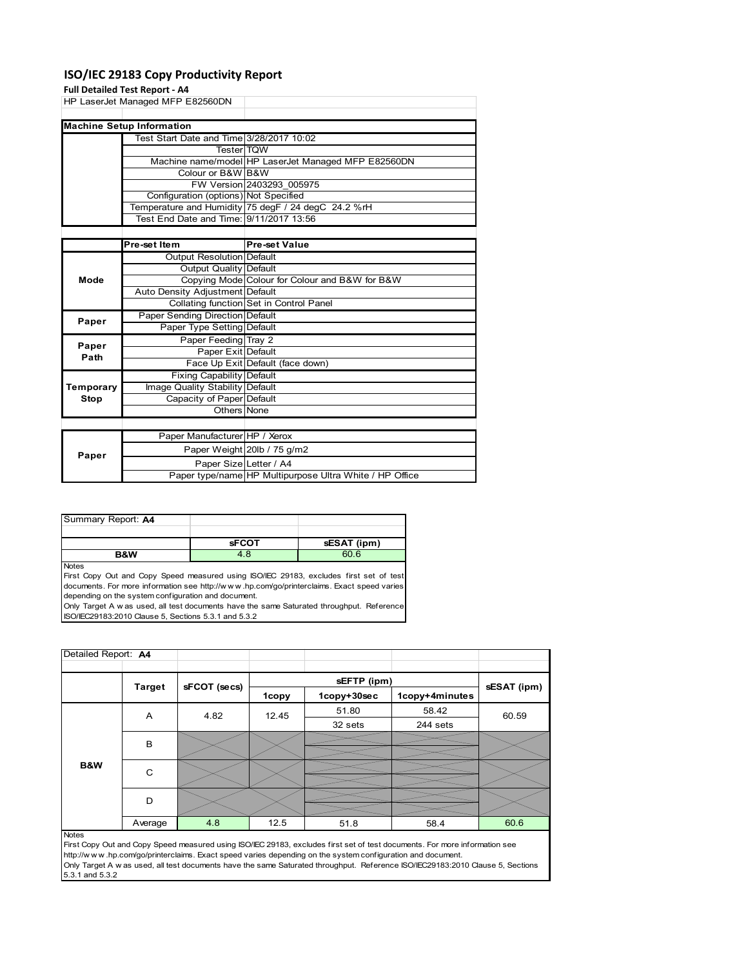### **ISO/IEC 29183 Copy Productivity Report**

### **Full Detailed Test Report ‐ A4**

|             | rull Detailed Test Report - A4           |                                                     |
|-------------|------------------------------------------|-----------------------------------------------------|
|             | HP LaserJet Managed MFP E82560DN         |                                                     |
|             |                                          |                                                     |
|             | <b>Machine Setup Information</b>         |                                                     |
|             | Test Start Date and Time 3/28/2017 10:02 |                                                     |
|             | <b>Tester</b> TQW                        |                                                     |
|             |                                          | Machine name/model HP LaserJet Managed MFP E82560DN |
|             | Colour or B&W B&W                        |                                                     |
|             |                                          | FW Version 2403293 005975                           |
|             | Configuration (options) Not Specified    |                                                     |
|             |                                          | Temperature and Humidity 75 degF / 24 degC 24.2 %rH |
|             | Test End Date and Time: 9/11/2017 13:56  |                                                     |
|             |                                          |                                                     |
|             | Pre-set Item                             | <b>Pre-set Value</b>                                |
|             | <b>Output Resolution Default</b>         |                                                     |
|             | Output Quality Default                   |                                                     |
| Mode        |                                          | Copying Mode Colour for Colour and B&W for B&W      |
|             | Auto Density Adjustment Default          |                                                     |
|             |                                          | Collating function Set in Control Panel             |
| Paper       | Paper Sending Direction Default          |                                                     |
|             | Paper Type Setting Default               |                                                     |
| Paper       | Paper Feeding Tray 2                     |                                                     |
| Path        | Paper Exit Default                       |                                                     |
|             |                                          | Face Up Exit Default (face down)                    |
|             | <b>Fixing Capability Default</b>         |                                                     |
| Temporary   | Image Quality Stability Default          |                                                     |
| <b>Stop</b> | Capacity of Paper Default                |                                                     |
|             | Others None                              |                                                     |

| Paper Manufacturer HP / Xerox                           |  |
|---------------------------------------------------------|--|
|                                                         |  |
| Paper Weight 20lb / 75 g/m2<br>Paper                    |  |
| Paper Size Letter / A4                                  |  |
| Paper type/name HP Multipurpose Ultra White / HP Office |  |

| Summary Report: A4 |              |             |
|--------------------|--------------|-------------|
|                    |              |             |
|                    | <b>sFCOT</b> | sESAT (ipm) |
| <b>R&amp;W</b>     | 4.8          | 60.6        |

Notes

First Copy Out and Copy Speed measured using ISO/IEC 29183, excludes first set of test documents. For more information see http://w w w .hp.com/go/printerclaims. Exact speed varies depending on the system configuration and document.

Only Target A w as used, all test documents have the same Saturated throughput. Reference ISO/IEC29183:2010 Clause 5, Sections 5.3.1 and 5.3.2

| Detailed Report: A4 |               |              |              |             |                |             |
|---------------------|---------------|--------------|--------------|-------------|----------------|-------------|
|                     |               |              |              | sEFTP (ipm) |                |             |
|                     | <b>Target</b> | sFCOT (secs) | <b>1copy</b> | 1copy+30sec | 1copy+4minutes | sESAT (ipm) |
|                     | Α             | 4.82         | 12.45        | 51.80       | 58.42          | 60.59       |
|                     |               |              |              | 32 sets     | 244 sets       |             |
|                     | B             |              |              |             |                |             |
| B&W                 | C             |              |              |             |                |             |
|                     | D             |              |              |             |                |             |
|                     | Average       | 4.8          | 12.5         | 51.8        | 58.4           | 60.6        |
| <b>Notes</b>        |               |              |              |             |                |             |

First Copy Out and Copy Speed measured using ISO/IEC 29183, excludes first set of test documents. For more information see http://w w w .hp.com/go/printerclaims. Exact speed varies depending on the system configuration and document. Only Target A w as used, all test documents have the same Saturated throughput. Reference ISO/IEC29183:2010 Clause 5, Sections 5.3.1 and 5.3.2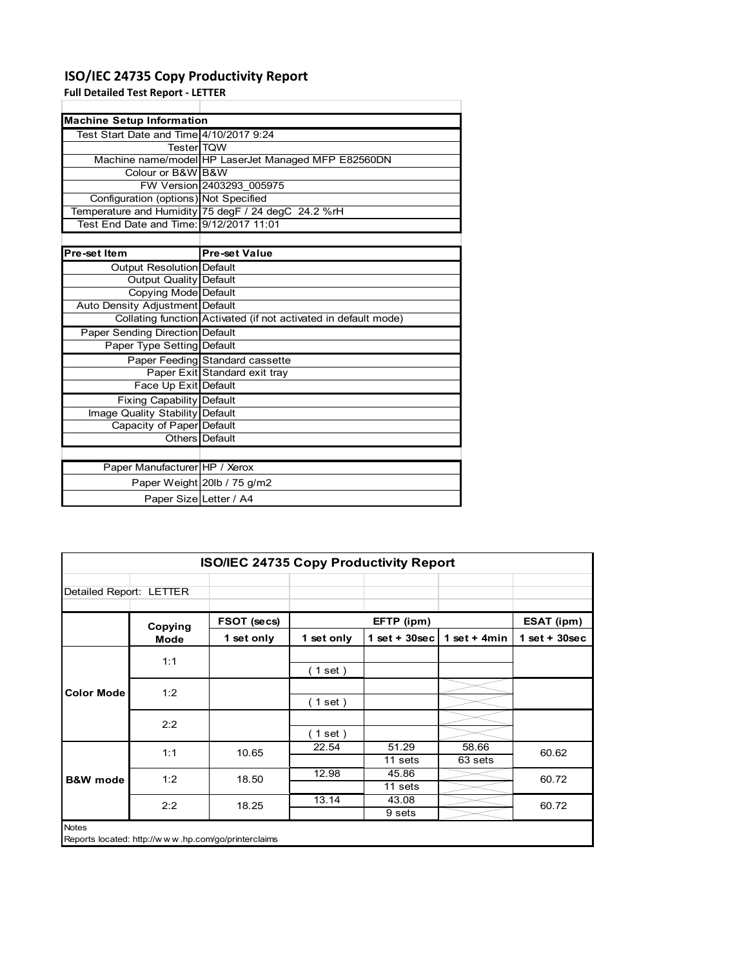## **ISO/IEC 24735 Copy Productivity Report**

Paper Weight 20lb / 75 g/m2 Paper Size Letter / A4

**Full Detailed Test Report ‐ LETTER**

| <b>Machine Setup Information</b>        |                                                                 |
|-----------------------------------------|-----------------------------------------------------------------|
| Test Start Date and Time 4/10/2017 9:24 |                                                                 |
| TesterITQW                              |                                                                 |
|                                         | Machine name/model HP LaserJet Managed MFP E82560DN             |
| Colour or B&WIB&W                       |                                                                 |
|                                         | FW Version 2403293 005975                                       |
| Configuration (options) Not Specified   |                                                                 |
|                                         | Temperature and Humidity 75 degF / 24 degC 24.2 %rH             |
| Test End Date and Time: 9/12/2017 11:01 |                                                                 |
|                                         |                                                                 |
| Pre-set Item                            | <b>Pre-set Value</b>                                            |
| Output Resolution Default               |                                                                 |
| Output Quality Default                  |                                                                 |
| Copying Mode Default                    |                                                                 |
| Auto Density Adjustment Default         |                                                                 |
|                                         | Collating function Activated (if not activated in default mode) |
| Paper Sending Direction Default         |                                                                 |
| Paper Type Setting Default              |                                                                 |
|                                         | Paper Feeding Standard cassette                                 |
|                                         | Paper Exit Standard exit tray                                   |
| Face Up Exit Default                    |                                                                 |
| <b>Fixing Capability Default</b>        |                                                                 |
| Image Quality Stability Default         |                                                                 |
| Capacity of Paper Default               |                                                                 |
|                                         | Others Default                                                  |
|                                         |                                                                 |
| Paper Manufacturer HP / Xerox           |                                                                 |

| <b>ISO/IEC 24735 Copy Productivity Report</b>                       |         |             |             |                  |                  |                 |  |
|---------------------------------------------------------------------|---------|-------------|-------------|------------------|------------------|-----------------|--|
| Detailed Report: LETTER                                             |         |             |             |                  |                  |                 |  |
|                                                                     | Copying | FSOT (secs) |             | EFTP (ipm)       |                  | ESAT (ipm)      |  |
|                                                                     | Mode    | 1 set only  | 1 set only  | 1 set + $30$ sec | 1 set + $4min$   | $1$ set + 30sec |  |
| <b>Color Mode</b>                                                   | 1:1     |             | $1$ set $)$ |                  |                  |                 |  |
|                                                                     | 1:2     |             | (1 set)     |                  |                  |                 |  |
|                                                                     | 2:2     |             | (1 set)     |                  |                  |                 |  |
|                                                                     | 1:1     | 10.65       | 22.54       | 51.29<br>11 sets | 58.66<br>63 sets | 60.62           |  |
| <b>B&amp;W</b> mode                                                 | 1:2     | 18.50       | 12.98       | 45.86<br>11 sets |                  | 60.72           |  |
|                                                                     | 2:2     | 18.25       | 13.14       | 43.08<br>9 sets  |                  | 60.72           |  |
| <b>Notes</b><br>Reports located: http://www.hp.com/go/printerclaims |         |             |             |                  |                  |                 |  |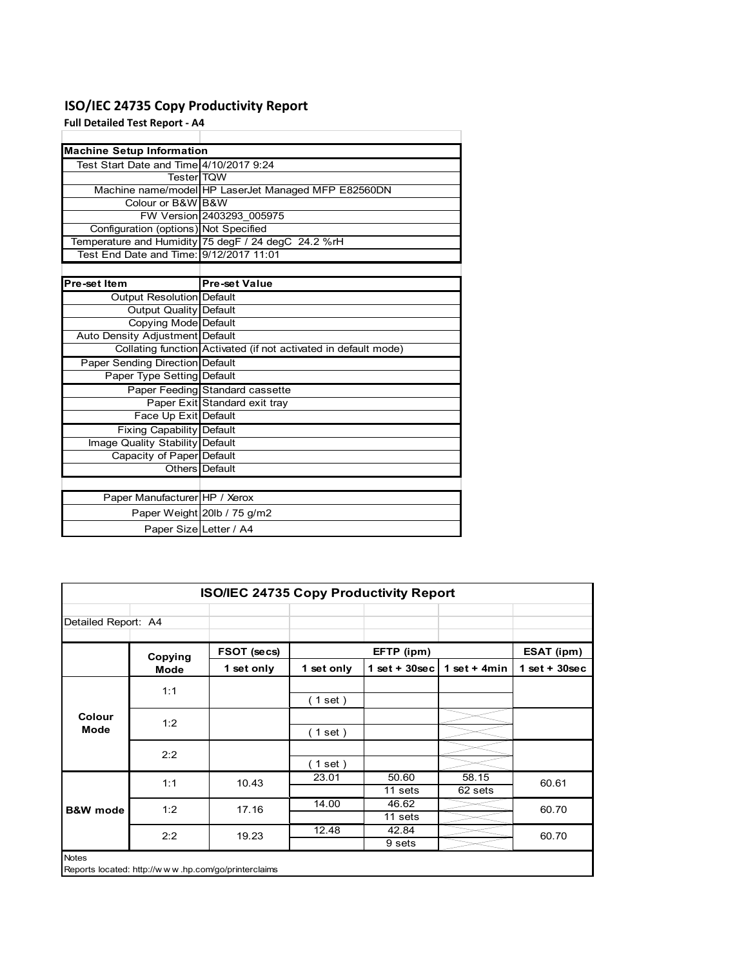### **ISO/IEC 24735 Copy Productivity Report**

**Full Detailed Test Report ‐ A4**

| <b>Machine Setup Information</b>        |                                                                 |
|-----------------------------------------|-----------------------------------------------------------------|
| Test Start Date and Time 4/10/2017 9:24 |                                                                 |
| <b>TesterITOW</b>                       |                                                                 |
|                                         | Machine name/model HP LaserJet Managed MFP E82560DN             |
| Colour or B&W B&W                       |                                                                 |
|                                         | FW Version 2403293 005975                                       |
| Configuration (options) Not Specified   |                                                                 |
|                                         | Temperature and Humidity 75 degF / 24 degC 24.2 %rH             |
|                                         |                                                                 |
|                                         |                                                                 |
| Pre-set Item                            | <b>Pre-set Value</b>                                            |
| Output Resolution Default               |                                                                 |
| <b>Output Quality Default</b>           |                                                                 |
| Copying Mode Default                    |                                                                 |
| Auto Density Adjustment Default         |                                                                 |
|                                         | Collating function Activated (if not activated in default mode) |
| Paper Sending Direction Default         |                                                                 |
| Paper Type Setting Default              |                                                                 |
|                                         | Paper Feeding Standard cassette                                 |
|                                         | Paper Exit Standard exit tray                                   |
| Face Up Exit Default                    |                                                                 |
| <b>Fixing Capability Default</b>        |                                                                 |
| Image Quality Stability Default         |                                                                 |
| Capacity of Paper Default               |                                                                 |
|                                         | Others   Default                                                |
|                                         |                                                                 |
| Paper Manufacturer HP / Xerox           |                                                                 |
|                                         | Paper Weight 20lb / 75 g/m2                                     |
| Paper Size Letter / A4                  |                                                                 |

| <b>ISO/IEC 24735 Copy Productivity Report</b> |             |                                                     |            |                  |                  |                 |  |
|-----------------------------------------------|-------------|-----------------------------------------------------|------------|------------------|------------------|-----------------|--|
| Detailed Report: A4                           |             |                                                     |            |                  |                  |                 |  |
|                                               | Copying     | FSOT (secs)                                         |            | EFTP (ipm)       |                  | ESAT (ipm)      |  |
|                                               | <b>Mode</b> | 1 set only                                          | 1 set only | $1$ set + 30sec  | 1 set + $4min$   | $1$ set + 30sec |  |
|                                               | 1:1         |                                                     | (1 set)    |                  |                  |                 |  |
| Colour<br><b>Mode</b>                         | 1:2         |                                                     | (1 set)    |                  |                  |                 |  |
|                                               | 2:2         |                                                     | (1 set)    |                  |                  |                 |  |
|                                               | 1:1         | 10.43                                               | 23.01      | 50.60<br>11 sets | 58.15<br>62 sets | 60.61           |  |
| <b>B&amp;W</b> mode                           | 1:2         | 17.16                                               | 14.00      | 46.62<br>11 sets |                  | 60.70           |  |
|                                               | 2:2         | 19.23                                               | 12.48      | 42.84<br>9 sets  |                  | 60.70           |  |
| <b>Notes</b>                                  |             | Reports located: http://www.hp.com/go/printerclaims |            |                  |                  |                 |  |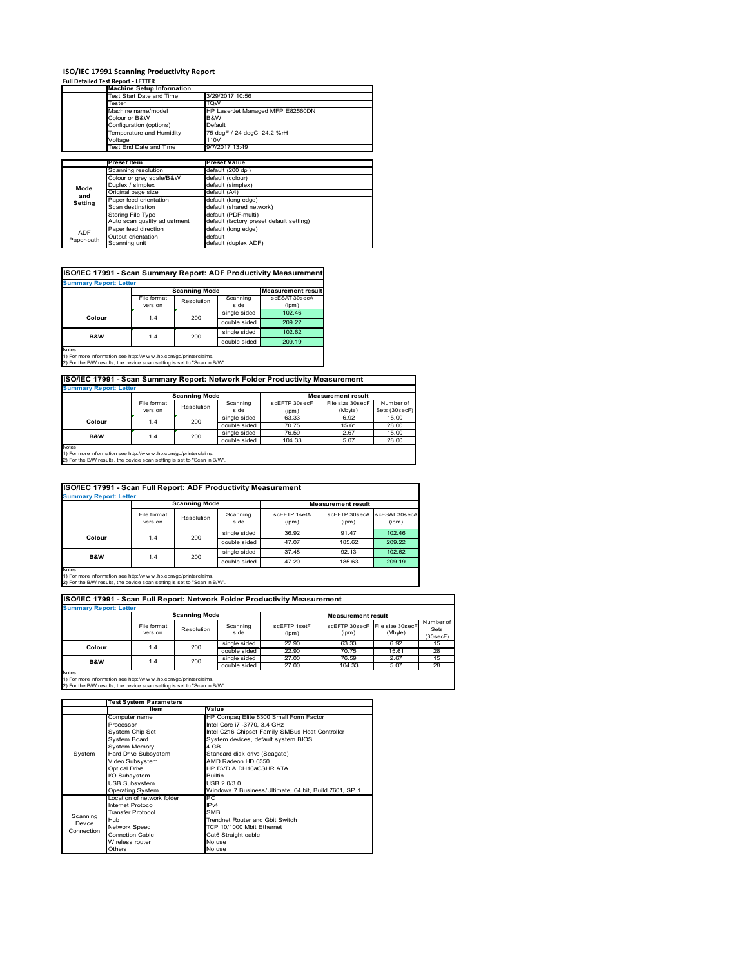## **ISO/IEC 17991 Scanning Productivity Report Full Detailed Test Report ‐ LETTER**

|            | <b>Machine Setup Information</b> |                                          |  |  |  |
|------------|----------------------------------|------------------------------------------|--|--|--|
|            | Test Start Date and Time         | 3/29/2017 10:56                          |  |  |  |
|            | Tester                           | TQW                                      |  |  |  |
|            | Machine name/model               | HP LaserJet Managed MFP E82560DN         |  |  |  |
|            | Colour or B&W                    | B&W                                      |  |  |  |
|            | Configuration (options)          | Default                                  |  |  |  |
|            | Temperature and Humidity         | 75 degF / 24 degC 24.2 %rH               |  |  |  |
|            | Voltage                          | 110V                                     |  |  |  |
|            | Test End Date and Time           | 9/7/2017 13:49                           |  |  |  |
|            |                                  |                                          |  |  |  |
|            | Preset Item                      | <b>Preset Value</b>                      |  |  |  |
|            | Scanning resolution              | default (200 dpi)                        |  |  |  |
|            | Colour or grey scale/B&W         | default (colour)                         |  |  |  |
| Mode       | Duplex / simplex                 | default (simplex)                        |  |  |  |
|            | Original page size               | default (A4)                             |  |  |  |
| and        | Paper feed orientation           | default (long edge)                      |  |  |  |
| Setting    | Scan destination                 | default (shared network)                 |  |  |  |
|            | <b>Storing File Type</b>         | default (PDF-multi)                      |  |  |  |
|            | Auto scan quality adjustment     | default (factory preset default setting) |  |  |  |
|            | Paper feed direction             | default (long edge)                      |  |  |  |
| <b>ADF</b> | Output orientation               | default                                  |  |  |  |
| Paper-path | Scanning unit                    | default (duplex ADF)                     |  |  |  |

| ISO/IEC 17991 - Scan Summary Report: ADF Productivity Measurement |             |                      |              |                           |  |  |  |
|-------------------------------------------------------------------|-------------|----------------------|--------------|---------------------------|--|--|--|
| <b>Summary Report: Letter</b>                                     |             |                      |              |                           |  |  |  |
|                                                                   |             | <b>Scanning Mode</b> |              | <b>Measurement result</b> |  |  |  |
|                                                                   | File format | Resolution           | Scanning     | scESAT 30secA             |  |  |  |
|                                                                   | version     |                      | side         | (ipm)                     |  |  |  |
| Colour                                                            | 1.4         | 200                  | single sided | 102.46                    |  |  |  |
|                                                                   |             |                      | double sided | 209.22                    |  |  |  |
| B&W                                                               | 1.4         | 200                  | single sided | 102.62                    |  |  |  |
|                                                                   |             |                      | double sided | 209.19                    |  |  |  |
| <b>Notes</b>                                                      |             |                      |              |                           |  |  |  |

Notes 1) For more information see http://w w w .hp.com/go/printerclaims. 2) For the B/W results, the device scan setting is set to "Scan in B/W".

**ISO/IEC 17991 - Scan Summary Report: Network Folder Productivity Measurement**

| <b>Summary Report: Letter</b> |                      |            |              |                           |                  |               |  |
|-------------------------------|----------------------|------------|--------------|---------------------------|------------------|---------------|--|
|                               | <b>Scanning Mode</b> |            |              | <b>Measurement result</b> |                  |               |  |
|                               | File format          | Resolution | Scanning     | scEFTP 30secF             | File size 30secF | Number of     |  |
|                               | version              |            | side         | (ipm)                     | (Mbyte)          | Sets (30secF) |  |
| Colour                        | 1.4                  | 200        | single sided | 63.33                     | 6.92             | 15.00         |  |
|                               |                      |            | double sided | 70.75                     | 15.61            | 28.00         |  |
| B&W                           | 1.4                  | 200        | single sided | 76.59                     | 2.67             | 15.00         |  |
|                               |                      |            | double sided | 104.33                    | 5.07             | 28.00         |  |
| <b>Notes</b>                  |                      |            |              |                           |                  |               |  |

┓

 $\overline{\phantom{a}}$ 

Notes 1) For more information see http://w w w .hp.com/go/printerclaims. 2) For the B/W results, the device scan setting is set to "Scan in B/W".

| ISO/IEC 17991 - Scan Full Report: ADF Productivity Measurement |                        |            |                  |                       |                           |                        |  |  |
|----------------------------------------------------------------|------------------------|------------|------------------|-----------------------|---------------------------|------------------------|--|--|
| <b>Summary Report: Letter</b>                                  |                        |            |                  |                       |                           |                        |  |  |
|                                                                | <b>Scanning Mode</b>   |            |                  |                       | <b>Measurement result</b> |                        |  |  |
|                                                                | File format<br>version | Resolution | Scanning<br>side | scFFTP 1setA<br>(ipm) | scEETP 30secA<br>(ipm)    | scESAT 30secA<br>(ipm) |  |  |
| Colour                                                         | 200<br>1.4             |            | single sided     | 36.92                 | 91.47                     | 102.46                 |  |  |
|                                                                |                        |            | double sided     | 47.07                 | 185.62                    | 209.22                 |  |  |
| <b>B&amp;W</b>                                                 |                        |            | single sided     | 37.48                 | 92.13                     | 102.62                 |  |  |
|                                                                | 1.4                    | 200        | double sided     | 47.20                 | 185.63                    | 209.19                 |  |  |
| <b>Notes</b>                                                   |                        |            |                  |                       |                           |                        |  |  |

Notes 1) For more information see http://w w w .hp.com/go/printerclaims. 2) For the B/W results, the device scan setting is set to "Scan in B/W".

| ISO/IEC 17991 - Scan Full Report: Network Folder Productivity Measurement |                        |            |                  |                           |                        |                             |                               |  |
|---------------------------------------------------------------------------|------------------------|------------|------------------|---------------------------|------------------------|-----------------------------|-------------------------------|--|
| <b>Summary Report: Letter</b>                                             |                        |            |                  |                           |                        |                             |                               |  |
| <b>Scanning Mode</b>                                                      |                        |            |                  | <b>Measurement result</b> |                        |                             |                               |  |
|                                                                           | File format<br>version | Resolution | Scanning<br>side | scFFTP 1setF<br>(ipm)     | scEFTP 30secF<br>(ipm) | File size 30secF<br>(Mbyte) | Number of<br>Sets<br>(30secF) |  |
| Colour                                                                    | 1.4                    | 200        | single sided     | 22.90                     | 63.33                  | 6.92                        | 15                            |  |
|                                                                           |                        |            | double sided     | 22.90                     | 70.75                  | 15.61                       | 28                            |  |
| <b>B&amp;W</b>                                                            | 1.4                    | 200        | single sided     | 27.00                     | 76.59                  | 2.67                        | 15                            |  |
|                                                                           |                        |            | double sided     | 27.00                     | 104.33                 | 5.07                        | 28                            |  |
| <b>Notes</b>                                                              |                        |            |                  |                           |                        |                             |                               |  |

|            | <b>Test System Parameters</b> |                                                       |  |  |  |
|------------|-------------------------------|-------------------------------------------------------|--|--|--|
|            | Item                          | Value                                                 |  |  |  |
|            | Computer name                 | HP Compaq Elite 8300 Small Form Factor                |  |  |  |
|            | Processor                     | Intel Core i7 -3770, 3.4 GHz                          |  |  |  |
|            | System Chip Set               | Intel C216 Chipset Family SMBus Host Controller       |  |  |  |
|            | <b>System Board</b>           | System devices, default system BIOS                   |  |  |  |
|            | <b>System Memory</b>          | 4 GB                                                  |  |  |  |
| System     | Hard Drive Subsystem          | Standard disk drive (Seagate)                         |  |  |  |
|            | Video Subsystem               | AMD Radeon HD 6350                                    |  |  |  |
|            | Optical Drive                 | HP DVD A DH16aCSHR ATA                                |  |  |  |
|            | I/O Subsystem                 | <b>Builtin</b>                                        |  |  |  |
|            | <b>USB Subsystem</b>          | USB 2.0/3.0                                           |  |  |  |
|            | <b>Operating System</b>       | Windows 7 Business/Ultimate, 64 bit, Build 7601, SP 1 |  |  |  |
|            | I ocation of network folder   | PC.                                                   |  |  |  |
|            | Internet Protocol             | IP <sub>v4</sub>                                      |  |  |  |
| Scanning   | <b>Transfer Protocol</b>      | <b>SMB</b>                                            |  |  |  |
| Device     | Hub                           | Trendnet Router and Gbit Switch                       |  |  |  |
| Connection | Network Speed                 | TCP 10/1000 Mbit Ethernet                             |  |  |  |
|            | <b>Connetion Cable</b>        | Cat6 Straight cable                                   |  |  |  |
|            | Wireless router               | No use                                                |  |  |  |
|            | Others                        | No use                                                |  |  |  |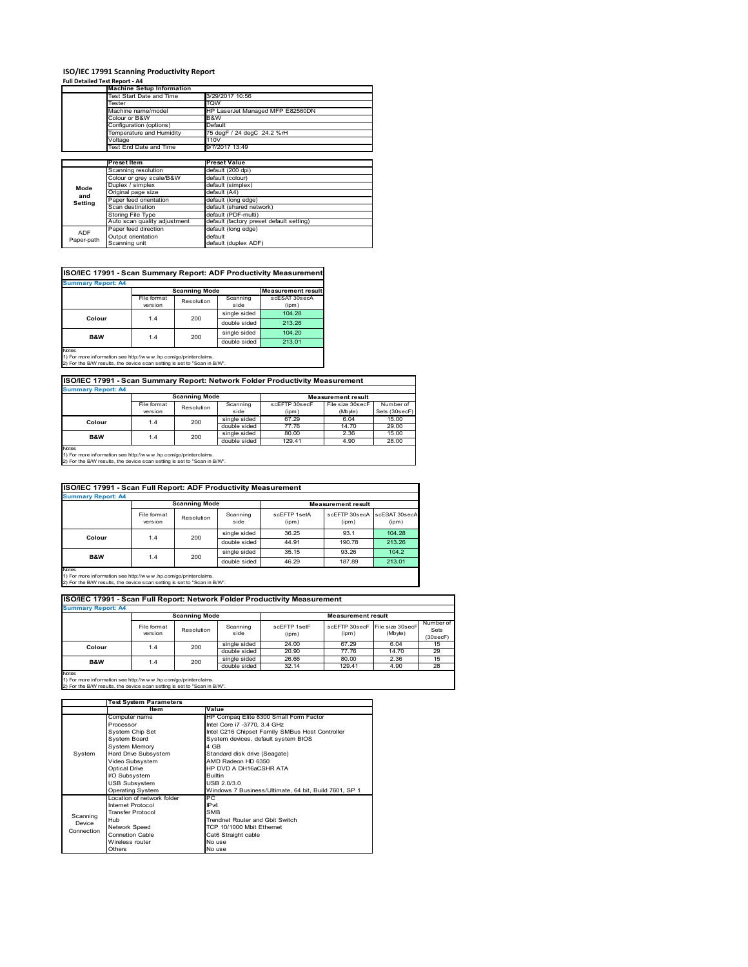# **ISO/IEC 17991 Scanning Productivity Report Full Detailed Test Report ‐ A4 Machine Setup Information**

|            | <b>Machine Setup Information</b>         |                                          |  |  |  |  |
|------------|------------------------------------------|------------------------------------------|--|--|--|--|
|            | Test Start Date and Time                 | 3/29/2017 10:56                          |  |  |  |  |
|            | Tester                                   | TQW                                      |  |  |  |  |
|            | Machine name/model                       | HP LaserJet Managed MFP E82560DN         |  |  |  |  |
|            | Colour or B&W                            | B&W                                      |  |  |  |  |
|            | Configuration (options)                  | Default                                  |  |  |  |  |
|            | Temperature and Humidity                 | 75 degF / 24 degC 24.2 %rH               |  |  |  |  |
|            | Voltage                                  | 110V                                     |  |  |  |  |
|            | Test End Date and Time<br>9/7/2017 13:49 |                                          |  |  |  |  |
|            |                                          |                                          |  |  |  |  |
|            | Preset Item                              | <b>Preset Value</b>                      |  |  |  |  |
|            | Scanning resolution                      | default (200 dpi)                        |  |  |  |  |
|            | Colour or grey scale/B&W                 | default (colour)                         |  |  |  |  |
| Mode       | Duplex / simplex                         | default (simplex)                        |  |  |  |  |
| and        | Original page size                       | default (A4)                             |  |  |  |  |
| Setting    | Paper feed orientation                   | default (long edge)                      |  |  |  |  |
|            | Scan destination                         | default (shared network)                 |  |  |  |  |
|            | Storing File Type                        | default (PDF-multi)                      |  |  |  |  |
|            | Auto scan quality adjustment             | default (factory preset default setting) |  |  |  |  |
| <b>ADF</b> | Paper feed direction                     | default (long edge)                      |  |  |  |  |
|            | Output orientation                       | default                                  |  |  |  |  |
| Paper-path | Scanning unit                            | default (duplex ADF)                     |  |  |  |  |

| ISO/IEC 17991 - Scan Summary Report: ADF Productivity Measurement |             |                      |              |                           |  |  |  |
|-------------------------------------------------------------------|-------------|----------------------|--------------|---------------------------|--|--|--|
| <b>Summary Report: A4</b>                                         |             |                      |              |                           |  |  |  |
|                                                                   |             | <b>Scanning Mode</b> |              | <b>Measurement result</b> |  |  |  |
|                                                                   | File format | Resolution           | Scanning     | scESAT 30secA             |  |  |  |
|                                                                   | version     |                      | side         | (ipm)                     |  |  |  |
| Colour                                                            | 1.4         | 200                  | single sided | 104.28                    |  |  |  |
|                                                                   |             |                      | double sided | 213.26                    |  |  |  |
| <b>B&amp;W</b>                                                    | 1.4         | 200                  | single sided | 104.20                    |  |  |  |
|                                                                   |             |                      | double sided | 213.01                    |  |  |  |
| <b>Notes</b>                                                      |             |                      |              |                           |  |  |  |

Notes 1) For more information see http://w w w .hp.com/go/printerclaims. 2) For the B/W results, the device scan setting is set to "Scan in B/W".

| ISO/IEC 17991 - Scan Summary Report: Network Folder Productivity Measurement |             |            |              |               |                  |               |  |
|------------------------------------------------------------------------------|-------------|------------|--------------|---------------|------------------|---------------|--|
| <b>Summary Report: A4</b>                                                    |             |            |              |               |                  |               |  |
| <b>Scanning Mode</b><br><b>Measurement result</b>                            |             |            |              |               |                  |               |  |
|                                                                              | File format | Resolution | Scanning     | scEFTP 30secF | File size 30secF | Number of     |  |
|                                                                              | version     |            | side         | (ipm)         | (Mbyte)          | Sets (30secF) |  |
| Colour                                                                       | 1.4         | 200        | single sided | 67.29         | 6.04             | 15.00         |  |
|                                                                              |             |            | double sided | 77.76         | 14.70            | 29.00         |  |
| <b>B&amp;W</b>                                                               | 1.4         | 200        | single sided | 80.00         | 2.36             | 15.00         |  |
|                                                                              |             |            | double sided | 129.41        | 4.90             | 28.00         |  |

Notes 1) For more information see http://w w w .hp.com/go/printerclaims. 2) For the B/W results, the device scan setting is set to "Scan in B/W".

|                                                                                                                                                       | ISO/IEC 17991 - Scan Full Report: ADF Productivity Measurement |                      |                  |                       |                                      |        |  |  |  |
|-------------------------------------------------------------------------------------------------------------------------------------------------------|----------------------------------------------------------------|----------------------|------------------|-----------------------|--------------------------------------|--------|--|--|--|
| <b>Summary Report: A4</b>                                                                                                                             |                                                                |                      |                  |                       |                                      |        |  |  |  |
|                                                                                                                                                       |                                                                | <b>Scanning Mode</b> |                  |                       | <b>Measurement result</b>            |        |  |  |  |
|                                                                                                                                                       | File format<br>version                                         | Resolution           | Scanning<br>side | scFFTP 1setA<br>(ipm) | scEFTP 30secA scESAT 30secA<br>(ipm) | (ipm)  |  |  |  |
| Colour                                                                                                                                                | 1.4                                                            | 200                  | single sided     | 36.25                 | 93.1                                 | 104.28 |  |  |  |
|                                                                                                                                                       |                                                                |                      | double sided     | 44.91                 | 190.78                               | 213.26 |  |  |  |
| <b>B&amp;W</b>                                                                                                                                        |                                                                | 200                  | single sided     | 35.15                 | 93.26                                | 104.2  |  |  |  |
|                                                                                                                                                       | 1.4                                                            |                      | double sided     | 46.29                 | 187.89                               | 213.01 |  |  |  |
| Notes<br>1) For more information see http://w w w .hp.com/go/printerclaims.<br>2) For the RAV results the device scan setting is set to "Scan in RAV" |                                                                |                      |                  |                       |                                      |        |  |  |  |

Notes 1) For more information see http://w w w .hp.com/go/printerclaims. 2) For the B/W results, the device scan setting is set to "Scan in B/W".

| ISO/IEC 17991 - Scan Full Report: Network Folder Productivity Measurement |                        |                      |                  |                       |                           |                                           |                               |  |  |
|---------------------------------------------------------------------------|------------------------|----------------------|------------------|-----------------------|---------------------------|-------------------------------------------|-------------------------------|--|--|
| <b>Summary Report: A4</b>                                                 |                        |                      |                  |                       |                           |                                           |                               |  |  |
|                                                                           |                        | <b>Scanning Mode</b> |                  |                       | <b>Measurement result</b> |                                           |                               |  |  |
|                                                                           | File format<br>version | Resolution           | Scanning<br>side | scFFTP 1setF<br>(ipm) | (ipm)                     | scEFTP 30secF File size 30secF<br>(Mbyte) | Number of<br>Sets<br>(30secF) |  |  |
| Colour                                                                    | 1.4                    | 200                  | single sided     | 24.00                 | 67.29                     | 6.04                                      | 15                            |  |  |
|                                                                           |                        |                      | double sided     | 20.90                 | 77.76                     | 14.70                                     | 29                            |  |  |
| <b>B&amp;W</b>                                                            | 1.4                    | 200                  | single sided     | 26.66                 | 80.00                     | 2.36                                      | 15                            |  |  |
|                                                                           |                        |                      | double sided     | 32.14                 | 129.41                    | 4.90                                      | 28                            |  |  |
| <b>Notes</b>                                                              |                        |                      |                  |                       |                           |                                           |                               |  |  |

|            | <b>Test System Parameters</b> |                                                       |  |  |
|------------|-------------------------------|-------------------------------------------------------|--|--|
|            | Item                          | Value                                                 |  |  |
|            | Computer name                 | HP Compaq Elite 8300 Small Form Factor                |  |  |
|            | Processor                     | Intel Core i7 -3770, 3.4 GHz                          |  |  |
|            | System Chip Set               | Intel C216 Chipset Family SMBus Host Controller       |  |  |
|            | <b>System Board</b>           | System devices, default system BIOS                   |  |  |
|            | <b>System Memory</b>          | 4 GB                                                  |  |  |
| System     | Hard Drive Subsystem          | Standard disk drive (Seagate)                         |  |  |
|            | Video Subsystem               | AMD Radeon HD 6350                                    |  |  |
|            | <b>Optical Drive</b>          | HP DVD A DH16aCSHR ATA                                |  |  |
|            | I/O Subsystem                 | <b>Builtin</b>                                        |  |  |
|            | <b>USB Subsystem</b>          | USB 2.0/3.0                                           |  |  |
|            | <b>Operating System</b>       | Windows 7 Business/Ultimate, 64 bit, Build 7601, SP 1 |  |  |
|            | I ocation of network folder   | PC.                                                   |  |  |
|            | Internet Protocol             | IP <sub>v4</sub>                                      |  |  |
| Scanning   | <b>Transfer Protocol</b>      | <b>SMB</b>                                            |  |  |
| Device     | Hub                           | Trendnet Router and Gbit Switch                       |  |  |
| Connection | Network Speed                 | TCP 10/1000 Mbit Ethernet                             |  |  |
|            | <b>Connetion Cable</b>        | Cat6 Straight cable                                   |  |  |
|            | Wireless router               | No use                                                |  |  |
|            | Others                        | No use                                                |  |  |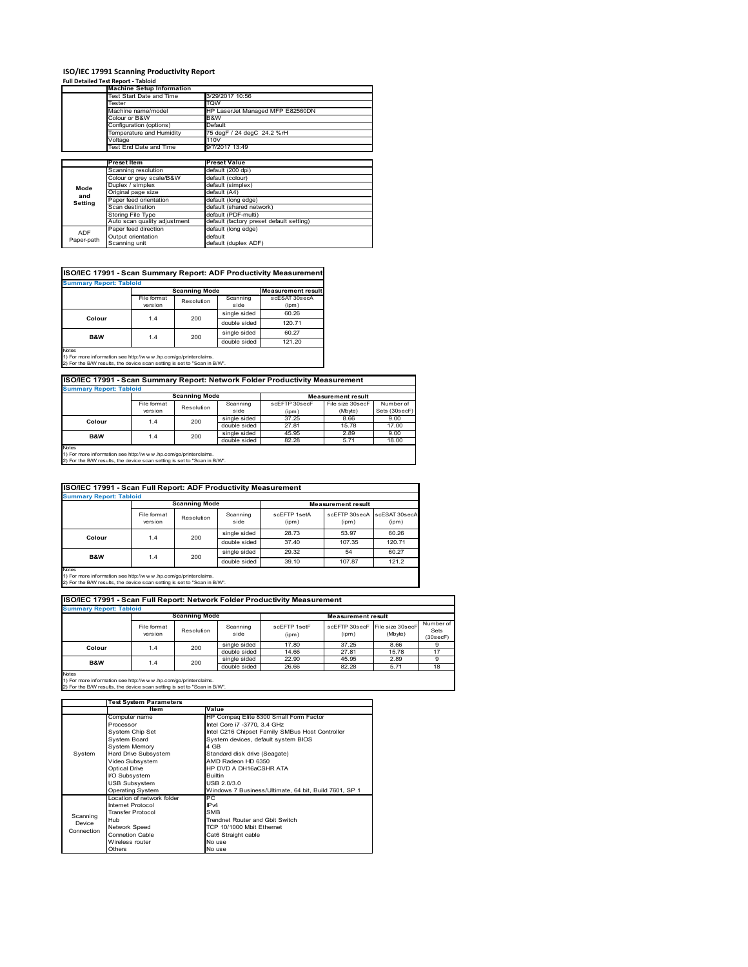# **ISO/IEC 17991 Scanning Productivity Report Full Detailed Test Report ‐ Tabloid Machine Setup Information**

|            | <b>Machine Setup Information</b> |                                          |  |  |  |  |  |
|------------|----------------------------------|------------------------------------------|--|--|--|--|--|
|            | Test Start Date and Time         | 3/29/2017 10:56                          |  |  |  |  |  |
|            | Tester                           | TQW                                      |  |  |  |  |  |
|            | Machine name/model               | HP LaserJet Managed MFP E82560DN         |  |  |  |  |  |
|            | Colour or B&W                    | B&W                                      |  |  |  |  |  |
|            | Configuration (options)          | Default                                  |  |  |  |  |  |
|            | Temperature and Humidity         | 75 degF / 24 degC 24.2 %rH               |  |  |  |  |  |
|            | Voltage                          | 110V                                     |  |  |  |  |  |
|            | Test End Date and Time           | 9/7/2017 13:49                           |  |  |  |  |  |
|            |                                  |                                          |  |  |  |  |  |
|            | Preset Item                      | <b>Preset Value</b>                      |  |  |  |  |  |
|            | Scanning resolution              | default (200 dpi)                        |  |  |  |  |  |
|            | Colour or grey scale/B&W         | default (colour)                         |  |  |  |  |  |
| Mode       | Duplex / simplex                 | default (simplex)                        |  |  |  |  |  |
|            | Original page size               | default (A4)                             |  |  |  |  |  |
| and        | Paper feed orientation           | default (long edge)                      |  |  |  |  |  |
| Setting    | Scan destination                 | default (shared network)                 |  |  |  |  |  |
|            | <b>Storing File Type</b>         | default (PDF-multi)                      |  |  |  |  |  |
|            | Auto scan quality adjustment     | default (factory preset default setting) |  |  |  |  |  |
| <b>ADF</b> | Paper feed direction             | default (long edge)                      |  |  |  |  |  |
|            | Output orientation               | default                                  |  |  |  |  |  |
| Paper-path |                                  |                                          |  |  |  |  |  |

| ISO/IEC 17991 - Scan Summary Report: ADF Productivity Measurement |             |                      |              |                           |  |  |  |
|-------------------------------------------------------------------|-------------|----------------------|--------------|---------------------------|--|--|--|
| <b>Summary Report: Tabloid</b>                                    |             |                      |              |                           |  |  |  |
|                                                                   |             | <b>Scanning Mode</b> |              | <b>Measurement result</b> |  |  |  |
|                                                                   | File format | Resolution           | Scanning     | scESAT 30secA             |  |  |  |
|                                                                   | version     |                      | side         | (ipm)                     |  |  |  |
|                                                                   | 1.4         | 200                  | single sided | 60.26                     |  |  |  |
| Colour                                                            |             |                      | double sided | 120.71                    |  |  |  |
| B&W                                                               | 1.4         | 200                  | single sided | 60.27                     |  |  |  |
|                                                                   |             |                      | double sided | 121.20                    |  |  |  |
| <b>Notes</b>                                                      |             |                      |              |                           |  |  |  |

Notes 1) For more information see http://w w w .hp.com/go/printerclaims. 2) For the B/W results, the device scan setting is set to "Scan in B/W".

| ISO/IEC 17991 - Scan Summary Report: Network Folder Productivity Measurement |             |            |              |               |                  |               |  |  |
|------------------------------------------------------------------------------|-------------|------------|--------------|---------------|------------------|---------------|--|--|
| <b>Summary Report: Tabloid</b>                                               |             |            |              |               |                  |               |  |  |
| <b>Scanning Mode</b><br><b>Measurement result</b>                            |             |            |              |               |                  |               |  |  |
|                                                                              | File format | Resolution | Scanning     | scEFTP 30secF | File size 30secF | Number of     |  |  |
|                                                                              | version     |            | side         | (ipm)         | (Mbyte)          | Sets (30secF) |  |  |
| Colour                                                                       | 1.4         | 200        | single sided | 37.25         | 8.66             | 9.00          |  |  |
|                                                                              |             |            | double sided | 27.81         | 15.78            | 17.00         |  |  |
| <b>B&amp;W</b>                                                               | 1.4         | 200        | single sided | 45.95         | 2.89             | 9.00          |  |  |
|                                                                              |             |            | double sided | 82.28         | 5.71             | 18.00         |  |  |
| Motor                                                                        |             |            |              |               |                  |               |  |  |

Notes 1) For more information see http://w w w .hp.com/go/printerclaims. 2) For the B/W results, the device scan setting is set to "Scan in B/W".

| ISO/IEC 17991 - Scan Full Report: ADF Productivity Measurement                                                                                          |                        |                      |                  |                       |                           |                        |  |  |
|---------------------------------------------------------------------------------------------------------------------------------------------------------|------------------------|----------------------|------------------|-----------------------|---------------------------|------------------------|--|--|
| <b>Summary Report: Tabloid</b>                                                                                                                          |                        |                      |                  |                       |                           |                        |  |  |
|                                                                                                                                                         |                        | <b>Scanning Mode</b> |                  |                       | <b>Measurement result</b> |                        |  |  |
|                                                                                                                                                         | File format<br>version | Resolution           | Scanning<br>side | scFFTP 1setA<br>(ipm) | scEFTP 30secA<br>(ipm)    | scESAT 30secA<br>(ipm) |  |  |
|                                                                                                                                                         | 1.4                    | 200                  | single sided     | 28.73                 | 53.97                     | 60.26                  |  |  |
| Colour                                                                                                                                                  |                        |                      | double sided     | 37.40                 | 107.35                    | 120.71                 |  |  |
| <b>B&amp;W</b>                                                                                                                                          | 1.4                    | 200                  | single sided     | 29.32                 | 54                        | 60.27                  |  |  |
|                                                                                                                                                         |                        |                      | double sided     | 39.10                 | 107.87                    | 121.2                  |  |  |
| Notes<br>1) For more information see http://w w w .hp.com/go/printerclaims.<br>2) For the B/W results, the device scan setting is set to "Scan in B/W". |                        |                      |                  |                       |                           |                        |  |  |

|                                | ISO/IEC 17991 - Scan Full Report: Network Folder Productivity Measurement |            |                  |                           |                        |                             |                               |  |  |
|--------------------------------|---------------------------------------------------------------------------|------------|------------------|---------------------------|------------------------|-----------------------------|-------------------------------|--|--|
| <b>Summary Report: Tabloid</b> |                                                                           |            |                  |                           |                        |                             |                               |  |  |
|                                | <b>Scanning Mode</b>                                                      |            |                  | <b>Measurement result</b> |                        |                             |                               |  |  |
|                                | File format<br>version                                                    | Resolution | Scanning<br>side | scEFTP 1setF<br>(ipm)     | scEFTP 30secF<br>(ipm) | File size 30secF<br>(Mbyte) | Number of<br>Sets<br>(30secF) |  |  |
| Colour                         | 1.4                                                                       | 200        | single sided     | 17.80                     | 37.25                  | 8.66                        |                               |  |  |
|                                |                                                                           |            | double sided     | 14.66                     | 27.81                  | 15.78                       | 17                            |  |  |
| <b>B&amp;W</b>                 | 1.4                                                                       | 200        | single sided     | 22.90                     | 45.95                  | 2.89                        | 9                             |  |  |
|                                |                                                                           |            | double sided     | 26.66                     | 82.28                  | 5.71                        | 18                            |  |  |
| <b>Notes</b>                   |                                                                           |            |                  |                           |                        |                             |                               |  |  |

|            | <b>Test System Parameters</b> |                                                       |  |  |
|------------|-------------------------------|-------------------------------------------------------|--|--|
|            | Item                          | Value                                                 |  |  |
|            | Computer name                 | HP Compaq Elite 8300 Small Form Factor                |  |  |
|            | Processor                     | Intel Core i7 -3770, 3.4 GHz                          |  |  |
|            | System Chip Set               | Intel C216 Chipset Family SMBus Host Controller       |  |  |
|            | <b>System Board</b>           | System devices, default system BIOS                   |  |  |
|            | <b>System Memory</b>          | 4 GB                                                  |  |  |
| System     | Hard Drive Subsystem          | Standard disk drive (Seagate)                         |  |  |
|            | Video Subsystem               | AMD Radeon HD 6350                                    |  |  |
|            | Optical Drive                 | HP DVD A DH16aCSHR ATA                                |  |  |
|            | I/O Subsystem                 | <b>Builtin</b>                                        |  |  |
|            | <b>USB Subsystem</b>          | USB 2.0/3.0                                           |  |  |
|            | <b>Operating System</b>       | Windows 7 Business/Ultimate, 64 bit, Build 7601, SP 1 |  |  |
|            | I ocation of network folder   | PC.                                                   |  |  |
|            | Internet Protocol             | IP <sub>v4</sub>                                      |  |  |
| Scanning   | <b>Transfer Protocol</b>      | <b>SMB</b>                                            |  |  |
| Device     | Hub                           | Trendnet Router and Gbit Switch                       |  |  |
| Connection | Network Speed                 | TCP 10/1000 Mbit Ethernet                             |  |  |
|            | Connetion Cable               | Cat6 Straight cable                                   |  |  |
|            | Wireless router               | No use                                                |  |  |
|            | Others                        | No use                                                |  |  |